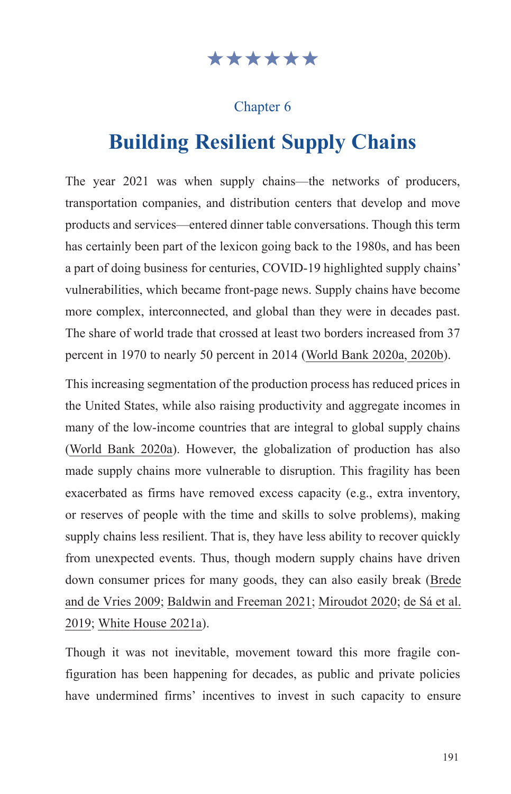# \*\*\*\*\*\*

# Chapter 6

# **Building Resilient Supply Chains**

The year 2021 was when supply chains—the networks of producers, transportation companies, and distribution centers that develop and move products and services—entered dinner table conversations. Though this term has certainly been part of the lexicon going back to the 1980s, and has been a part of doing business for centuries, COVID-19 highlighted supply chains' vulnerabilities, which became front-page news. Supply chains have become more complex, interconnected, and global than they were in decades past. The share of world trade that crossed at least two borders increased from 37 percent in 1970 to nearly 50 percent in 2014 [\(World Bank 2020a,](https://openknowledge.worldbank.org/bitstream/handle/10986/32437/211457ov.pdf) 2020b).

This increasing segmentation of the production process has reduced prices in the United States, while also raising productivity and aggregate incomes in many of the low-income countries that are integral to global supply chains ([World Bank 2020a\)](https://openknowledge.worldbank.org/bitstream/handle/10986/32437/211457ov.pdf). However, the globalization of production has also made supply chains more vulnerable to disruption. This fragility has been exacerbated as firms have removed excess capacity (e.g., extra inventory, or reserves of people with the time and skills to solve problems), making supply chains less resilient. That is, they have less ability to recover quickly from unexpected events. Thus, though modern supply chains have driven down consumer prices for many goods, they can also easily break [\(Brede](https://link.springer.com/chapter/10.1007/978-3-642-02469-6_87)  [and de Vries 2009;](https://link.springer.com/chapter/10.1007/978-3-642-02469-6_87) [Baldwin and Freeman 2021](https://www.nber.org/papers/w29444); [Miroudot 2020;](https://voxeu.org/article/resilience-versus-robustness-global-value-chains) [de Sá et al.](https://bibliotecadigital.fgv.br/dspace/bitstream/handle/10438/28521/Sa%20et%20al%20IJOPM-09-2017-0510.pdf)  [2019](https://bibliotecadigital.fgv.br/dspace/bitstream/handle/10438/28521/Sa%20et%20al%20IJOPM-09-2017-0510.pdf); [White House 2021a](https://www.whitehouse.gov/wp-content/uploads/2021/06/100-day-supply-chain-review-report.pdf)).

Though it was not inevitable, movement toward this more fragile configuration has been happening for decades, as public and private policies have undermined firms' incentives to invest in such capacity to ensure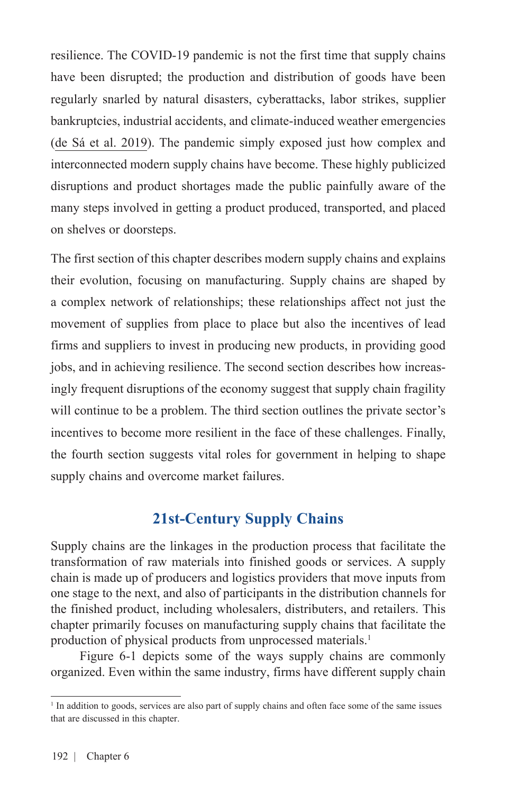resilience. The COVID-19 pandemic is not the first time that supply chains have been disrupted; the production and distribution of goods have been regularly snarled by natural disasters, cyberattacks, labor strikes, supplier bankruptcies, industrial accidents, and climate-induced weather emergencies ([de Sá et al. 2019\)](https://bibliotecadigital.fgv.br/dspace/bitstream/handle/10438/28521/Sa%20et%20al%20IJOPM-09-2017-0510.pdf). The pandemic simply exposed just how complex and interconnected modern supply chains have become. These highly publicized disruptions and product shortages made the public painfully aware of the many steps involved in getting a product produced, transported, and placed on shelves or doorsteps.

The first section of this chapter describes modern supply chains and explains their evolution, focusing on manufacturing. Supply chains are shaped by a complex network of relationships; these relationships affect not just the movement of supplies from place to place but also the incentives of lead firms and suppliers to invest in producing new products, in providing good jobs, and in achieving resilience. The second section describes how increasingly frequent disruptions of the economy suggest that supply chain fragility will continue to be a problem. The third section outlines the private sector's incentives to become more resilient in the face of these challenges. Finally, the fourth section suggests vital roles for government in helping to shape supply chains and overcome market failures.

# **21st-Century Supply Chains**

Supply chains are the linkages in the production process that facilitate the transformation of raw materials into finished goods or services. A supply chain is made up of producers and logistics providers that move inputs from one stage to the next, and also of participants in the distribution channels for the finished product, including wholesalers, distributers, and retailers. This chapter primarily focuses on manufacturing supply chains that facilitate the production of physical products from unprocessed materials.<sup>1</sup>

Figure 6-1 depicts some of the ways supply chains are commonly organized. Even within the same industry, firms have different supply chain

<sup>&</sup>lt;sup>1</sup> In addition to goods, services are also part of supply chains and often face some of the same issues that are discussed in this chapter.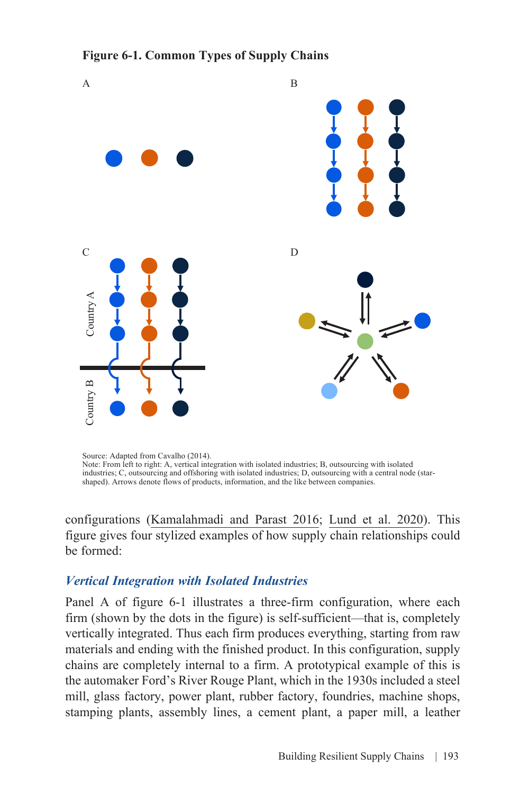#### **Figure 6-1. Common Types of Supply Chains**



Source: Adapted from Cavalho (2014). Note: From left to right: A, vertical integration with isolated industries; B, outsourcing with isolated industries; C, outsourcing and offshoring with isolated industries; D, outsourcing with a central node (starshaped). Arrows denote flows of products, information, and the like between companies.

configurations ([Kamalahmadi and Parast 2016](https://www.sciencedirect.com/science/article/abs/pii/S0925527315004041); [Lund et al. 2020](https://www.mckinsey.com/~/media/mckinsey/business%20functions/operations/our%20insights/risk%20resilience%20and%20rebalancing%20in%20global%20value%20chains/risk-resilience-and-rebalancing-in-global-value-chains-full-report-vh.pdf?shouldIndex=false.)). This figure gives four stylized examples of how supply chain relationships could be formed:

#### *Vertical Integration with Isolated Industries*

Panel A of figure 6-1 illustrates a three-firm configuration, where each firm (shown by the dots in the figure) is self-sufficient—that is, completely vertically integrated. Thus each firm produces everything, starting from raw materials and ending with the finished product. In this configuration, supply chains are completely internal to a firm. A prototypical example of this is the automaker Ford's River Rouge Plant, which in the 1930s included a steel mill, glass factory, power plant, rubber factory, foundries, machine shops, stamping plants, assembly lines, a cement plant, a paper mill, a leather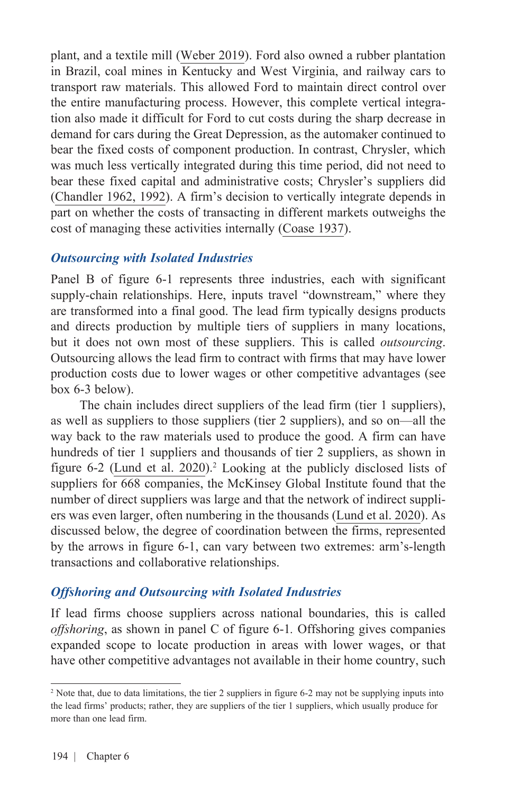plant, and a textile mill [\(Weber 2019\)](https://www.assemblymag.com/articles/94799-fords-rouge-assembly-plant-turns-100). Ford also owned a rubber plantation in Brazil, coal mines in Kentucky and West Virginia, and railway cars to transport raw materials. This allowed Ford to maintain direct control over the entire manufacturing process. However, this complete vertical integration also made it difficult for Ford to cut costs during the sharp decrease in demand for cars during the Great Depression, as the automaker continued to bear the fixed costs of component production. In contrast, Chrysler, which was much less vertically integrated during this time period, did not need to bear these fixed capital and administrative costs; Chrysler's suppliers did ([Chandler 1962](https://s3.amazonaws.com/arena-attachments/705027/a973f694aaaee073aeb1cfce037f3b11.pdf)[, 1992](https://www.aeaweb.org/articles?id=10.1257/jep.6.3.79)). A firm's decision to vertically integrate depends in part on whether the costs of transacting in different markets outweighs the cost of managing these activities internally [\(Coase 1937\)](https://www.richschwinn.com/richschwinn/index/teaching/past%20courses/Econ%20340%20-%20Managerial%20Economics/2013%20Fall%20340%20-%20The%20Nature%20of%20the%20Firm.pdf).

#### *Outsourcing with Isolated Industries*

Panel B of figure 6-1 represents three industries, each with significant supply-chain relationships. Here, inputs travel "downstream," where they are transformed into a final good. The lead firm typically designs products and directs production by multiple tiers of suppliers in many locations, but it does not own most of these suppliers. This is called *outsourcing*. Outsourcing allows the lead firm to contract with firms that may have lower production costs due to lower wages or other competitive advantages (see box 6-3 below).

The chain includes direct suppliers of the lead firm (tier 1 suppliers), as well as suppliers to those suppliers (tier 2 suppliers), and so on—all the way back to the raw materials used to produce the good. A firm can have hundreds of tier 1 suppliers and thousands of tier 2 suppliers, as shown in figure 6-2 [\(Lund et al. 2020\)](https://www.mckinsey.com/business-functions/operations/our-insights/risk-resilience-and-rebalancing-in-global-value-chains.pdf).<sup>2</sup> Looking at the publicly disclosed lists of suppliers for 668 companies, the McKinsey Global Institute found that the number of direct suppliers was large and that the network of indirect suppliers was even larger, often numbering in the thousands [\(Lund et al. 2020](https://www.mckinsey.com/business-functions/operations/our-insights/risk-resilience-and-rebalancing-in-global-value-chains.pdf)). As discussed below, the degree of coordination between the firms, represented by the arrows in figure 6-1, can vary between two extremes: arm's-length transactions and collaborative relationships.

#### *Offshoring and Outsourcing with Isolated Industries*

If lead firms choose suppliers across national boundaries, this is called *offshoring*, as shown in panel C of figure 6-1*.* Offshoring gives companies expanded scope to locate production in areas with lower wages, or that have other competitive advantages not available in their home country, such

<sup>&</sup>lt;sup>2</sup> Note that, due to data limitations, the tier 2 suppliers in figure 6-2 may not be supplying inputs into the lead firms' products; rather, they are suppliers of the tier 1 suppliers, which usually produce for more than one lead firm.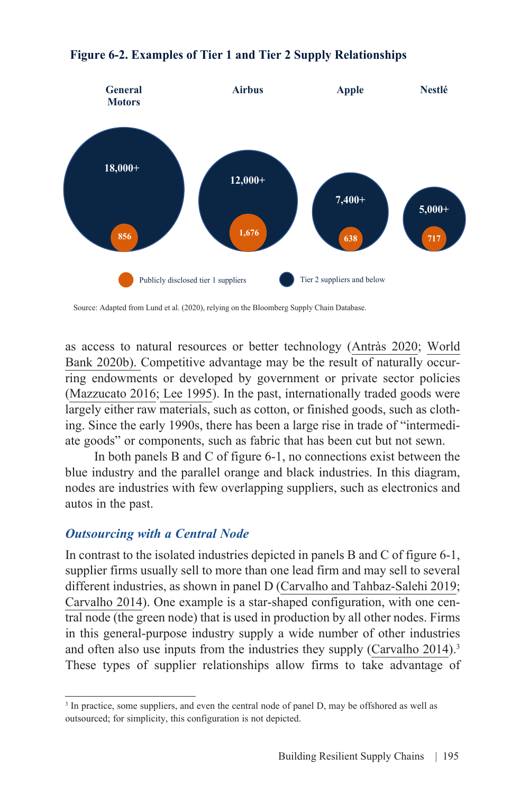

#### **Figure 6-2. Examples of Tier 1 and Tier 2 Supply Relationships**

as access to natural resources or better technology [\(Antràs 2020;](https://scholar.harvard.edu/antras/publications/conceptual-aspects-global-value-chains) [World](https://digitallibrary.un.org/record/3850531?ln=en) [Bank 2020b\).](https://digitallibrary.un.org/record/3850531?ln=en) Competitive advantage may be the result of naturally occurring endowments or developed by government or private sector policies ([Mazzucato](https://discovery.ucl.ac.uk/id/eprint/10045784/1/Mazzucato_From_Market_fixing.pdf) 2016; [Lee 1995\)](https://www.sciencedirect.com/science/article/abs/pii/0305750X9500039F). In the past, internationally traded goods were largely either raw materials, such as cotton, or finished goods, such as clothing. Since the early 1990s, there has been a large rise in trade of "intermediate goods" or components, such as fabric that has been cut but not sewn.

In both panels B and C of figure 6-1, no connections exist between the blue industry and the parallel orange and black industries. In this diagram, nodes are industries with few overlapping suppliers, such as electronics and autos in the past.

#### *Outsourcing with a Central Node*

In contrast to the isolated industries depicted in panels B and C of figure 6-1, supplier firms usually sell to more than one lead firm and may sell to several different industries, as shown in panel D [\(Carvalho and Tahbaz-Salehi 2019](https://www.kellogg.northwestern.edu/faculty/alirezat/ProductionNetworksPrimer.pdf); [Carvalho 2014\)](https://pubs.aeaweb.org/doi/pdfplus/10.1257/jep.28.4.23). One example is a star-shaped configuration, with one central node (the green node) that is used in production by all other nodes. Firms in this general-purpose industry supply a wide number of other industries and often also use inputs from the industries they supply ([Carvalho 2014\)](https://pubs.aeaweb.org/doi/pdfplus/10.1257/jep.28.4.23).<sup>3</sup> These types of supplier relationships allow firms to take advantage of

Source: Adapted from Lund et al. (2020), relying on the Bloomberg Supply Chain Database.

<sup>&</sup>lt;sup>3</sup> In practice, some suppliers, and even the central node of panel D, may be offshored as well as outsourced; for simplicity, this configuration is not depicted.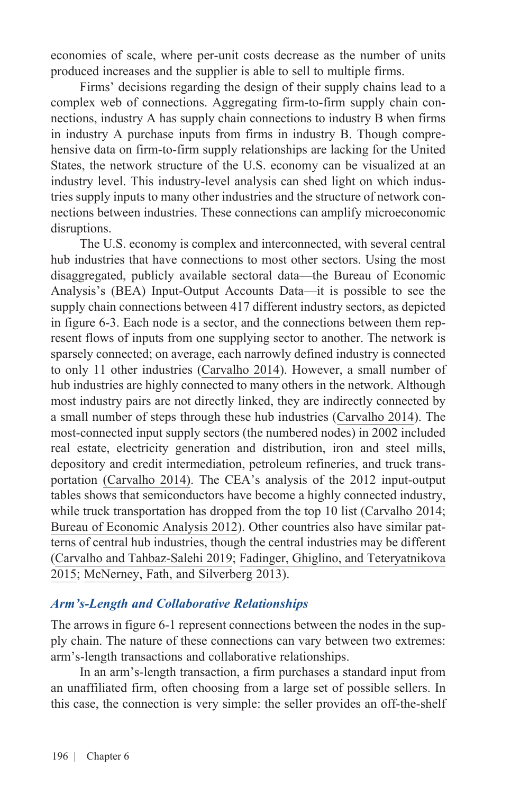economies of scale, where per-unit costs decrease as the number of units produced increases and the supplier is able to sell to multiple firms.

Firms' decisions regarding the design of their supply chains lead to a complex web of connections. Aggregating firm-to-firm supply chain connections, industry A has supply chain connections to industry B when firms in industry A purchase inputs from firms in industry B. Though comprehensive data on firm-to-firm supply relationships are lacking for the United States, the network structure of the U.S. economy can be visualized at an industry level. This industry-level analysis can shed light on which industries supply inputs to many other industries and the structure of network connections between industries. These connections can amplify microeconomic disruptions.

The U.S. economy is complex and interconnected, with several central hub industries that have connections to most other sectors. Using the most disaggregated, publicly available sectoral data—the Bureau of Economic Analysis's (BEA) Input-Output Accounts Data—it is possible to see the supply chain connections between 417 different industry sectors, as depicted in figure 6-3. Each node is a sector, and the connections between them represent flows of inputs from one supplying sector to another. The network is sparsely connected; on average, each narrowly defined industry is connected to only 11 other industries ([Carvalho 2014\)](https://pubs.aeaweb.org/doi/pdfplus/10.1257/jep.28.4.23). However, a small number of hub industries are highly connected to many others in the network. Although most industry pairs are not directly linked, they are indirectly connected by a small number of steps through these hub industries ([Carvalho 2014\)](https://pubs.aeaweb.org/doi/pdfplus/10.1257/jep.28.4.23). The most-connected input supply sectors (the numbered nodes) in 2002 included real estate, electricity generation and distribution, iron and steel mills, depository and credit intermediation, petroleum refineries, and truck transportation [\(Carvalho 2014\).](https://www.aeaweb.org/articles?id=10.1257/jep.28.4.23) The CEA's analysis of the 2012 input-output tables shows that semiconductors have become a highly connected industry, while truck transportation has dropped from the top 10 list [\(Carvalho 2014;](https://www.aeaweb.org/articles?id=10.1257/jep.28.4.23) [Bureau of Economic Analysis 2012\)](https://www.bea.gov/industry/input-output-accounts-data). Other countries also have similar patterns of central hub industries, though the central industries may be different ([Carvalho and Tahbaz-Salehi 2019](https://www.kellogg.northwestern.edu/faculty/alirezat/ProductionNetworksPrimer.pdf); [Fadinger, Ghiglino, and Teteryatnikova](https://citeseerx.ist.psu.edu/viewdoc/download?doi=10.1.1.714.5072&rep=rep1&type=pdf) [2015;](https://citeseerx.ist.psu.edu/viewdoc/download?doi=10.1.1.714.5072&rep=rep1&type=pdf) [McNerney, Fath, and Silverberg 2013\)](https://arxiv.org/pdf/1204.4122.pdf).

#### *Arm's-Length and Collaborative Relationships*

The arrows in figure 6-1 represent connections between the nodes in the supply chain. The nature of these connections can vary between two extremes: arm's-length transactions and collaborative relationships.

In an arm's-length transaction, a firm purchases a standard input from an unaffiliated firm, often choosing from a large set of possible sellers. In this case, the connection is very simple: the seller provides an off-the-shelf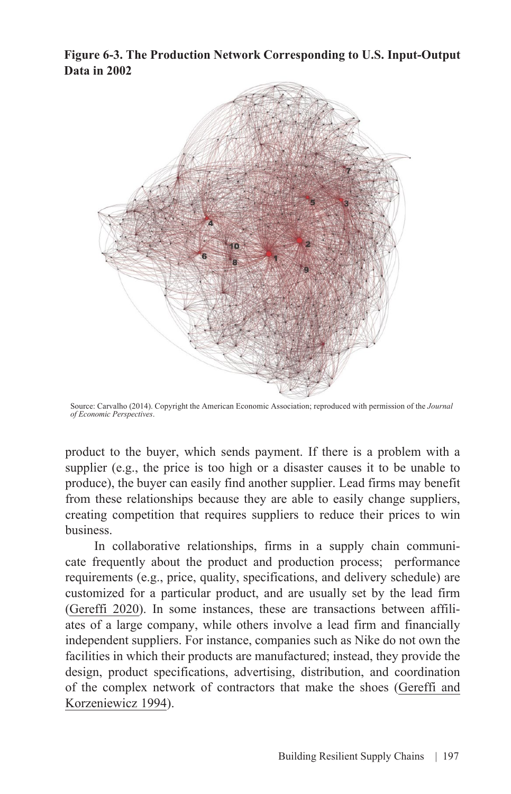**Figure 6-3. The Production Network Corresponding to U.S. Input-Output Data in 2002**



Source: Carvalho (2014). Copyright the American Economic Association; reproduced with permission of the *Journal of Economic Perspectives*.

product to the buyer, which sends payment. If there is a problem with a supplier (e.g., the price is too high or a disaster causes it to be unable to produce), the buyer can easily find another supplier. Lead firms may benefit from these relationships because they are able to easily change suppliers, creating competition that requires suppliers to reduce their prices to win business.

In collaborative relationships, firms in a supply chain communicate frequently about the product and production process; performance requirements (e.g., price, quality, specifications, and delivery schedule) are customized for a particular product, and are usually set by the lead firm ([Gereffi 2020](https://link.springer.com/article/10.1057/s42214-020-00062-w)). In some instances, these are transactions between affiliates of a large company, while others involve a lead firm and financially independent suppliers. For instance, companies such as Nike do not own the facilities in which their products are manufactured; instead, they provide the design, product specifications, advertising, distribution, and coordination [of the complex network of contractors that make the shoes \(Gereffi and](https://dukespace.lib.duke.edu/dspace/bitstream/handle/10161/11457/1994_Gereffi_Role of big buyers in GCCs_chapter 5 in CC%26GC.pdf?sequence=1&isAllowed=y) Korzeniewicz 1994).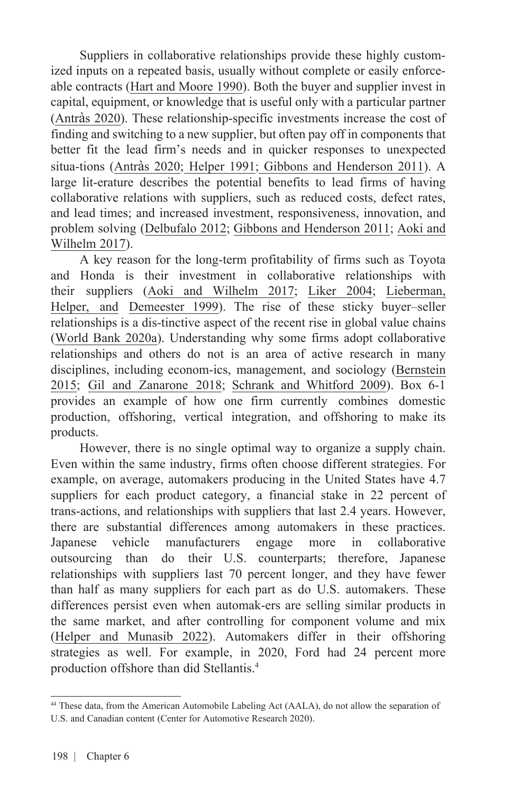Suppliers in collaborative relationships provide these highly customized inputs on a repeated basis, usually without complete or easily enforceable contracts ([Hart and Moore 1990\)](https://dash.harvard.edu/bitstream/handle/1/3448675/Hart_PropertyRights.pdf). Both the buyer and supplier invest in capital, equipment, or knowledge that is useful only with a particular partner (Antrà[s 2020\)](https://scholar.harvard.edu/antras/publications/conceptual-aspects-global-value-chains). These relationship-specific investments increase the cost of finding and switching to a new supplier, but often pay off in components that better fit the lead firm's needs and in quicker responses to unexpected situa-tions (Antrà[s 2020](https://scholar.harvard.edu/antras/publications/conceptual-aspects-global-value-chains); [Helper 1991](https://www.jstor.org/stable/3117265?seq=1#metadata_info_tab_contents); [Gibbons and Henderson 2011\)](https://www.hbs.edu/ris/Publication%20Files/Relational%20Contracts_0ced5289-d134-4fae-ab28-f9a6cb3d765f.pdf). A large lit-erature describes the potential benefits to lead firms of having collaborative relations with suppliers, such as reduced costs, defect rates, and lead times; and increased investment, responsiveness, innovation, and [problem solving \(Delbufalo 2012; Gibbons and Henderson 2011; Aoki and](https://www.semanticscholar.org/paper/The-Role-of-Ambidexterity-in-Managing-The-Toyota-Aoki-Wilhelm/2e9a02af82e8ecc4c756e082472c30b855a43327) Wilhelm 2017).

A key reason for the long-term profitability of firms such as Toyota and Honda is their investment in collaborative relationships with [their suppliers \(](https://ink.library.smu.edu.sg/cgi/viewcontent.cgi?article=2062&context=lkcsb_research)[Aoki and Wilhelm 2017](https://www.semanticscholar.org/paper/The-Role-of-Ambidexterity-in-Managing-The-Toyota-Aoki-Wilhelm/2e9a02af82e8ecc4c756e082472c30b855a43327)[;](https://ink.library.smu.edu.sg/cgi/viewcontent.cgi?article=2062&context=lkcsb_research) [Liker 200](https://thetoyotaway.org/product/the-toyota-way/)[4; Lieberman,](https://ink.library.smu.edu.sg/cgi/viewcontent.cgi?article=2062&context=lkcsb_research) Helper, and [Demeester 1999\)](https://ink.library.smu.edu.sg/cgi/viewcontent.cgi?article=2062&context=lkcsb_research). The rise of these sticky buyer–seller relationships is a dis-tinctive aspect of the recent rise in global value chains ([World Bank 2020a](https://www.worldbank.org/en/publication/wdr2020)). Understanding why some firms adopt collaborative relationships and others do not is an area of active research in many [disciplines, including econom-ics, management, and sociology \(Bernstein](https://academic.oup.com/jla/article/7/2/561/1753667?login=true) 2015; [Gil and Zanarone 2018;](https://extranet.sioe.org/uploads/isnie2015/gil_zanarone.pdf) [Schrank and Whitford 2009\)](http://www.columbia.edu/~jw2212/Writing/Main/02-ANF-ST.pdf). Box 6-1 provides an example of how one firm currently combines domestic production, offshoring, vertical integration, and offshoring to make its products.

However, there is no single optimal way to organize a supply chain. Even within the same industry, firms often choose different strategies. For example, on average, automakers producing in the United States have 4.7 suppliers for each product category, a financial stake in 22 percent of trans-actions, and relationships with suppliers that last 2.4 years. However, there are substantial differences among automakers in these practices. Japanese vehicle manufacturers engage more in collaborative outsourcing than do their U.S. counterparts; therefore, Japanese relationships with suppliers last 70 percent longer, and they have fewer than half as many suppliers for each part as do U.S. automakers. These differences persist even when automak-ers are selling similar products in the same market, and after controlling for component volume and mix ([Helper and Munasib 202](https://www.nber.org/conferences/organizational-economics-meeting-spring-2021)2). Automakers differ in their offshoring strategies as well. For example, in 2020, Ford had 24 percent more production offshore than did Stellantis.<sup>4</sup>

<sup>44</sup> These data, from the American Automobile Labeling Act (AALA), do not allow the separation of U.S. and Canadian content (Center for Automotive Research 2020).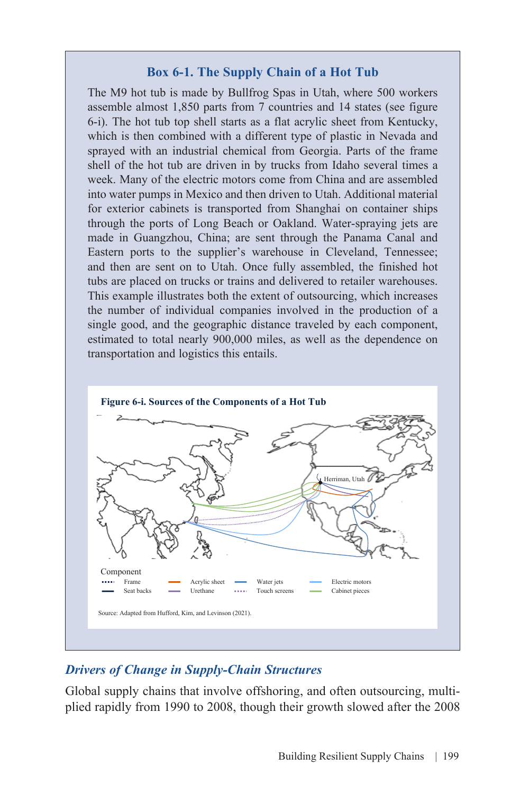#### **Box 6-1. The Supply Chain of a Hot Tub**

The M9 hot tub is made by Bullfrog Spas in Utah, where 500 workers assemble almost 1,850 parts from 7 countries and 14 states (see figure 6-i). The hot tub top shell starts as a flat acrylic sheet from Kentucky, which is then combined with a different type of plastic in Nevada and sprayed with an industrial chemical from Georgia. Parts of the frame shell of the hot tub are driven in by trucks from Idaho several times a week. Many of the electric motors come from China and are assembled into water pumps in Mexico and then driven to Utah. Additional material for exterior cabinets is transported from Shanghai on container ships through the ports of Long Beach or Oakland. Water-spraying jets are made in Guangzhou, China; are sent through the Panama Canal and Eastern ports to the supplier's warehouse in Cleveland, Tennessee; and then are sent on to Utah. Once fully assembled, the finished hot tubs are placed on trucks or trains and delivered to retailer warehouses. This example illustrates both the extent of outsourcing, which increases the number of individual companies involved in the production of a single good, and the geographic distance traveled by each component, estimated to total nearly 900,000 miles, as well as the dependence on transportation and logistics this entails.



#### *Drivers of Change in Supply-Chain Structures*

Global supply chains that involve offshoring, and often outsourcing, multiplied rapidly from 1990 to 2008, though their growth slowed after the 2008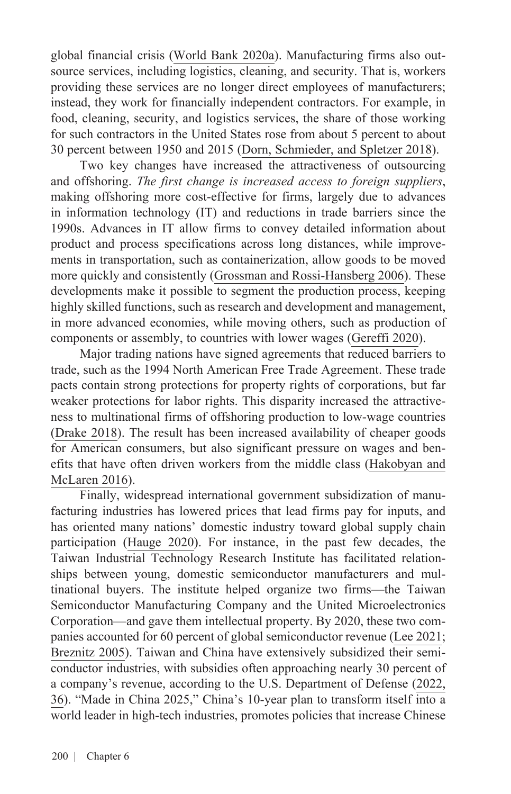global financial crisis ([World Bank 2020a\).](https://openknowledge.worldbank.org/bitstream/handle/10986/32437/211457ov.pdf) Manufacturing firms also outsource services, including logistics, cleaning, and security. That is, workers providing these services are no longer direct employees of manufacturers; instead, they work for financially independent contractors. For example, in food, cleaning, security, and logistics services, the share of those working for such contractors in the United States rose from about 5 percent to about 30 percent between 1950 and 2015 [\(Dorn, Schmieder, and Spletzer 2018\)](https://www.dol.gov/sites/dolgov/files/OASP/legacy/files/Domestic-Outsourcing-in-the-United-States.pdf).

Two key changes have increased the attractiveness of outsourcing and offshoring. *The first change is increased access to foreign suppliers*, making offshoring more cost-effective for firms, largely due to advances in information technology (IT) and reductions in trade barriers since the 1990s. Advances in IT allow firms to convey detailed information about product and process specifications across long distances, while improvements in transportation, such as containerization, allow goods to be moved more quickly and consistently [\(Grossman and Rossi-Hansberg 2006](https://www.princeton.edu/~erossi/RO.pdf)). These developments make it possible to segment the production process, keeping highly skilled functions, such as research and development and management, in more advanced economies, while moving others, such as production of components or assembly, to countries with lower wages [\(Gereffi 2020\)](https://link.springer.com/article/10.1057/s42214-020-00062-w).

Major trading nations have signed agreements that reduced barriers to trade, such as the 1994 North American Free Trade Agreement. These trade pacts contain strong protections for property rights of corporations, but far weaker protections for labor rights. This disparity increased the attractiveness to multinational firms of offshoring production to low-wage countries ([Drake 2018](https://heinonline.org/HOL/Page?handle=hein.journals/jilfa22&div=8&g_sent=1&casa_token=AIoonCvnNjUAAAAA:KHyRO0uRNDXRAkHu_RyGHj3pOaNS0NnJK2uydx5UPU5zxZcqMcx74wAlGuAj4oNhpgayGlU&collection=journals)). The result has been increased availability of cheaper goods for American consumers, but also significant pressure on wages and benefits that have often driven workers from the middle class ([Hakobyan and](https://direct.mit.edu/rest/article/98/4/728/58338/Looking-for-Local-Labor-Market-Effects-of-NAFTA)  [McLaren 2016\)](https://direct.mit.edu/rest/article/98/4/728/58338/Looking-for-Local-Labor-Market-Effects-of-NAFTA).

Finally, widespread international government subsidization of manufacturing industries has lowered prices that lead firms pay for inputs, and has oriented many nations' domestic industry toward global supply chain participation [\(Hauge 2020\)](https://onlinelibrary.wiley.com/doi/full/10.1111/twec.12922). For instance, in the past few decades, the Taiwan Industrial Technology Research Institute has facilitated relationships between young, domestic semiconductor manufacturers and multinational buyers. The institute helped organize two firms—the Taiwan Semiconductor Manufacturing Company and the United Microelectronics Corporation—and gave them intellectual property. By 2020, these two companies accounted for 60 percent of global semiconductor revenue [\(Lee 2021;](https://www.cnbc.com/2021/03/16/2-charts-show-how-much-the-world-depends-on-taiwan-for-semiconductors.html) [Breznitz 2005](https://papers.ssrn.com/sol3/papers.cfm?abstract_id=753524)). Taiwan and China have extensively subsidized their semiconductor industries, with subsidies often approaching nearly 30 percent of a company's revenue, according to the U.S. Department of Defense ([2022](https://media.defense.gov/2022/Feb/24/2002944158/-1/-1/1/DOD-EO-14017-REPORT-SECURING-DEFENSE-CRITICAL-SUPPLY-CHAINS.PDF), 36). "Made in China 2025," China's 10-year plan to transform itself into a world leader in high-tech industries, promotes policies that increase Chinese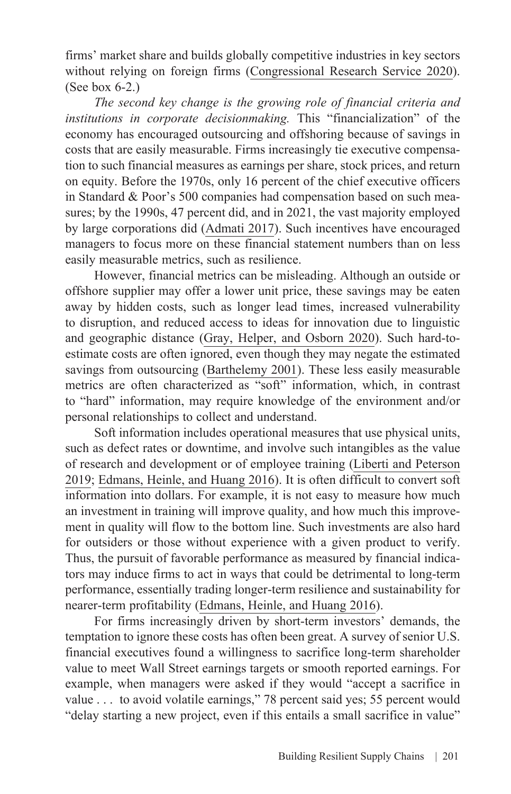firms' market share and builds globally competitive industries in key sectors without relying on foreign firms [\(Congressional Research Service 2020\)](https://sgp.fas.org/crs/row/IF10964.pdf). (See box 6-2.)

*The second key change is the growing role of financial criteria and institutions in corporate decisionmaking.* This "financialization" of the economy has encouraged outsourcing and offshoring because of savings in costs that are easily measurable. Firms increasingly tie executive compensation to such financial measures as earnings per share, stock prices, and return on equity. Before the 1970s, only 16 percent of the chief executive officers in Standard & Poor's 500 companies had compensation based on such measures; by the 1990s, 47 percent did, and in 2021, the vast majority employed by large corporations did [\(Admati 2017](https://www.aeaweb.org/articles?id=10.1257/jep.31.3.131)). Such incentives have encouraged managers to focus more on these financial statement numbers than on less easily measurable metrics, such as resilience.

However, financial metrics can be misleading. Although an outside or offshore supplier may offer a lower unit price, these savings may be eaten away by hidden costs, such as longer lead times, increased vulnerability to disruption, and reduced access to ideas for innovation due to linguistic and geographic distance ([Gray, Helper, and Osborn 2020](https://onlinelibrary.wiley.com/doi/full/10.1002/joom.1113)). Such hard-toestimate costs are often ignored, even though they may negate the estimated savings from outsourcing [\(Barthelemy 2001](https://www.proquest.com/docview/224961284?pq-origsite=gscholar&fromopenview=true)). These less easily measurable metrics are often characterized as "soft" information, which, in contrast to "hard" information, may require knowledge of the environment and/or personal relationships to collect and understand.

Soft information includes operational measures that use physical units, such as defect rates or downtime, and involve such intangibles as the value of research and development or of employee training ([Liberti and Peterson](https://www.kellogg.northwestern.edu/faculty/petersen/htm/papers/hard%20and%20soft%20information.pdf) [2019;](https://www.kellogg.northwestern.edu/faculty/petersen/htm/papers/hard%20and%20soft%20information.pdf) [Edmans, Heinle, and Huang 2016](https://papers.ssrn.com/sol3/papers.cfm?abstract_id=2316194)). It is often difficult to convert soft information into dollars. For example, it is not easy to measure how much an investment in training will improve quality, and how much this improvement in quality will flow to the bottom line. Such investments are also hard for outsiders or those without experience with a given product to verify. Thus, the pursuit of favorable performance as measured by financial indicators may induce firms to act in ways that could be detrimental to long-term performance, essentially trading longer-term resilience and sustainability for nearer-term profitability ([Edmans, Heinle, and Huang 2016](https://papers.ssrn.com/sol3/papers.cfm?abstract_id=2316194)).

For firms increasingly driven by short-term investors' demands, the temptation to ignore these costs has often been great. A survey of senior U.S. financial executives found a willingness to sacrifice long-term shareholder value to meet Wall Street earnings targets or smooth reported earnings. For example, when managers were asked if they would "accept a sacrifice in value . . . to avoid volatile earnings," 78 percent said yes; 55 percent would "delay starting a new project, even if this entails a small sacrifice in value"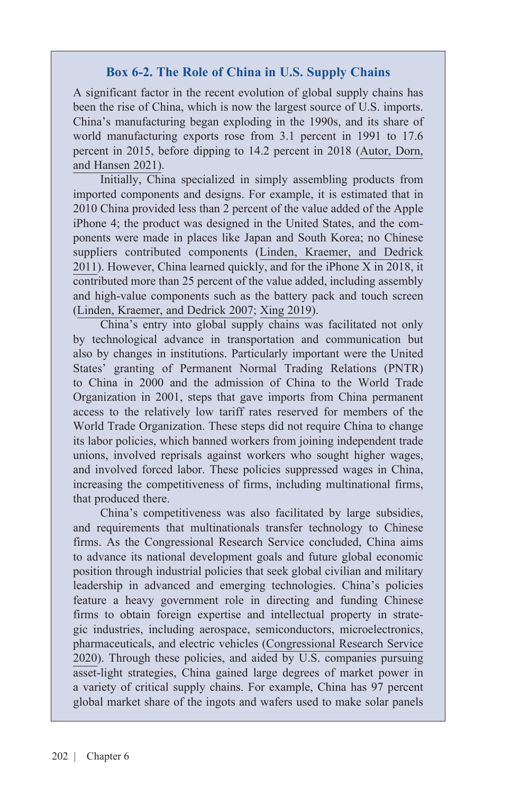#### **Box 6-2. The Role of China in U.S. Supply Chains**

A significant factor in the recent evolution of global supply chains has been the rise of China, which is now the largest source of U.S. imports. China's manufacturing began exploding in the 1990s, and its share of world manufacturing exports rose from 3.1 percent in 1991 to 17.6 percent in 2015, before dipping to 14.2 percent in 2018 [\(Autor, Dorn,](https://www.nber.org/system/files/working_papers/w29401/w29401.pdf) [and Hansen 2021](https://www.nber.org/system/files/working_papers/w29401/w29401.pdf)).

Initially, China specialized in simply assembling products from imported components and designs. For example, it is estimated that in 2010 China provided less than 2 percent of the value added of the Apple iPhone 4; the product was designed in the United States, and the components were made in places like Japan and South Korea; no Chinese suppliers contributed components ([Linden, Kraemer, and Dedrick](https://webzoom.freewebs.com/phsworldhistory/AP%20WH%20Unit%20V/Value_iPad_iPhone.pdf) [2011](https://webzoom.freewebs.com/phsworldhistory/AP%20WH%20Unit%20V/Value_iPad_iPhone.pdf)). However, China learned quickly, and for the iPhone X in 2018, it contributed more than 25 percent of the value added, including assembly and high-value components such as the battery pack and touch screen ([Linden, Kraemer, and Dedrick 2007;](https://escholarship.org/uc/item/1770046n) [Xing 2019](https://voxeu.org/article/how-iphone-widens-us-trade-deficit-china-0)).

China's entry into global supply chains was facilitated not only by technological advance in transportation and communication but also by changes in institutions. Particularly important were the United States' granting of Permanent Normal Trading Relations (PNTR) to China in 2000 and the admission of China to the World Trade Organization in 2001, steps that gave imports from China permanent access to the relatively low tariff rates reserved for members of the World Trade Organization. These steps did not require China to change its labor policies, which banned workers from joining independent trade unions, involved reprisals against workers who sought higher wages, and involved forced labor. These policies suppressed wages in China, increasing the competitiveness of firms, including multinational firms, that produced there.

China's competitiveness was also facilitated by large subsidies, and requirements that multinationals transfer technology to Chinese firms. As the Congressional Research Service concluded, China aims to advance its national development goals and future global economic position through industrial policies that seek global civilian and military leadership in advanced and emerging technologies. China's policies feature a heavy government role in directing and funding Chinese firms to obtain foreign expertise and intellectual property in strategic industries, including aerospace, semiconductors, microelectronics, pharmaceuticals, and electric vehicles [\(Congressional Research Service](https://sgp.fas.org/crs/row/IF10964.pdf) [2020](https://sgp.fas.org/crs/row/IF10964.pdf)). Through these policies, and aided by U.S. companies pursuing asset-light strategies, China gained large degrees of market power in a variety of critical supply chains. For example, China has 97 percent global market share of the ingots and wafers used to make solar panels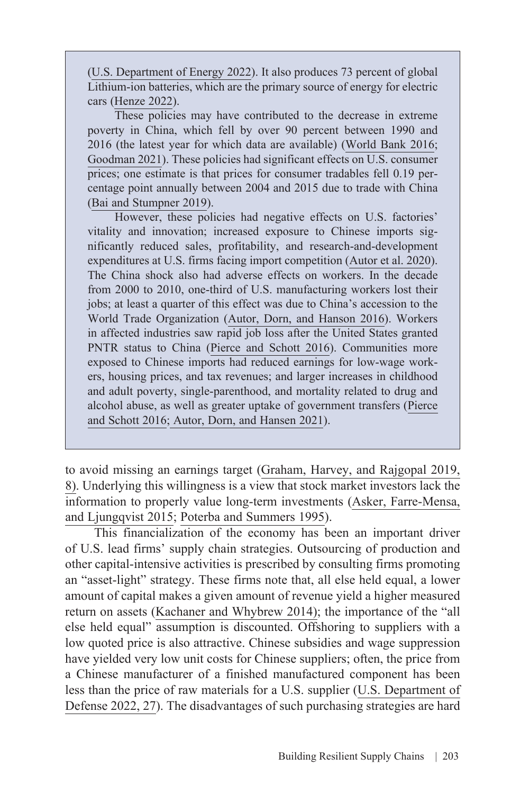([U.S. Department of Energy 2022](https://www.energy.gov/sites/default/files/2022-02/Solar%20Energy%20Supply%20Chain%20Report%20-%20Final.pdf)). It also produces 73 percent of global Lithium-ion batteries, which are the primary source of energy for electric cars ([Henze 2022\)](https://about.bnef.com/blog/u-s-narrows-gap-with-china-in-race-to-dominate-battery-value-chain/).

These policies may have contributed to the decrease in extreme poverty in China, which fell by over 90 percent between 1990 and 2016 (the latest year for which data are available) ([World Bank 2016;](https://www.worldbank.org/en/news/opinion/2016/10/17/chinas-role-in-efforts-to-eradicate-poverty) [Goodman 2021](https://www.bbc.com/news/56213271)). These policies had significant effects on U.S. consumer prices; one estimate is that prices for consumer tradables fell 0.19 percentage point annually between 2004 and 2015 due to trade with China ([Bai and Stumpner 2019](https://www.aeaweb.org/articles?id=10.1257/aeri.20180358)).

However, these policies had negative effects on U.S. factories' vitality and innovation; increased exposure to Chinese imports significantly reduced sales, profitability, and research-and-development expenditures at U.S. firms facing import competition [\(Autor et al. 2020\)](https://www.aeaweb.org/articles?id=10.1257/aeri.20180481). The China shock also had adverse effects on workers. In the decade from 2000 to 2010, one-third of U.S. manufacturing workers lost their jobs; at least a quarter of this effect was due to China's accession to the World Trade Organization ([Autor, Dorn, and Hanson 2016](https://www.nber.org/papers/w21906)). Workers in affected industries saw rapid job loss after the United States granted PNTR status to China [\(Pierce and Schott 2016](http://www.justinrpierce.com/index_files/pierce_schott_aer_2016.pdf)). Communities more exposed to Chinese imports had reduced earnings for low-wage workers, housing prices, and tax revenues; and larger increases in childhood and adult poverty, single-parenthood, and mortality related to drug and alcohol abuse, as well as greater uptake of government transfers ([Pierce](http://www.justinrpierce.com/index_files/pierce_schott_aer_2016.pdf) [and Schott 2016;](http://www.justinrpierce.com/index_files/pierce_schott_aer_2016.pdf) [Autor, Dorn, and Hansen 2021\)](https://www.nber.org/system/files/working_papers/w29401/w29401.pdf).

to avoid missing an earnings target [\(Graham, Harvey, and Rajgopal 2019](https://www0.gsb.columbia.edu/mygsb/faculty/research/pubfiles/12924/Rajgopal_value.pdf), 8). Underlying this willingness is a view that stock market investors lack the information to properly value long-term investments [\(Asker, Farre-Mensa,](http://ssrn.com/abstract=1603484)  [and Ljungqvist 2015;](http://ssrn.com/abstract=1603484) [Poterba and Summers 1995\)](https://economics.mit.edu/files/19916).

This financialization of the economy has been an important driver of U.S. lead firms' supply chain strategies. Outsourcing of production and other capital-intensive activities is prescribed by consulting firms promoting an "asset-light" strategy. These firms note that, all else held equal, a lower amount of capital makes a given amount of revenue yield a higher measured return on assets ([Kachaner and Whybrew 2014](https://www.bcg.com/publications/2014/business-model-innovation-growth-asset-light-is-right)); the importance of the "all else held equal" assumption is discounted. Offshoring to suppliers with a low quoted price is also attractive. Chinese subsidies and wage suppression have yielded very low unit costs for Chinese suppliers; often, the price from a Chinese manufacturer of a finished manufactured component has been less than the price of raw materials for a U.S. supplier [\(U.S. Department of](https://media.defense.gov/2022/Feb/24/2002944158/-1/-1/1/DOD-EO-14017-REPORT-SECURING-DEFENSE-CRITICAL-SUPPLY-CHAINS.PDF)  [Defense 2022](https://media.defense.gov/2022/Feb/24/2002944158/-1/-1/1/DOD-EO-14017-REPORT-SECURING-DEFENSE-CRITICAL-SUPPLY-CHAINS.PDF), 27). The disadvantages of such purchasing strategies are hard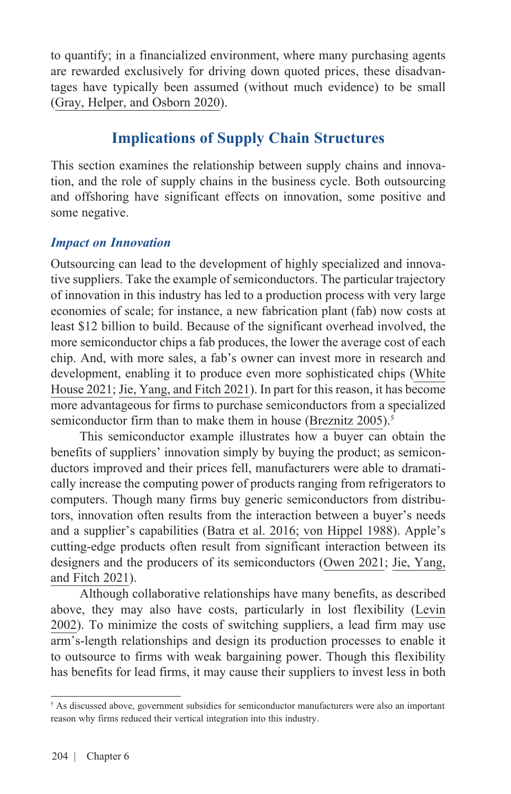to quantify; in a financialized environment, where many purchasing agents are rewarded exclusively for driving down quoted prices, these disadvantages have typically been assumed (without much evidence) to be small ([Gray, Helper, and Osborn 2020](https://onlinelibrary.wiley.com/doi/full/10.1002/joom.1113)).

# **Implications of Supply Chain Structures**

This section examines the relationship between supply chains and innovation, and the role of supply chains in the business cycle. Both outsourcing and offshoring have significant effects on innovation, some positive and some negative.

### *Impact on Innovation*

Outsourcing can lead to the development of highly specialized and innovative suppliers. Take the example of semiconductors. The particular trajectory of innovation in this industry has led to a production process with very large economies of scale; for instance, a new fabrication plant (fab) now costs at least \$12 billion to build. Because of the significant overhead involved, the more semiconductor chips a fab produces, the lower the average cost of each chip. And, with more sales, a fab's owner can invest more in research and development, enabling it to produce even more sophisticated chips ([White](https://www.whitehouse.gov/wp-content/uploads/2021/06/100-day-supply-chain-review-report.pdf) [House 2021](https://www.whitehouse.gov/wp-content/uploads/2021/06/100-day-supply-chain-review-report.pdf); [Jie, Yang, and Fitch 2021\)](https://www.wsj.com/articles/the-world-relies-on-one-chip-maker-in-taiwan-leaving-everyone-vulnerable-11624075400). In part for this reason, it has become more advantageous for firms to purchase semiconductors from a specialized semiconductor firm than to make them in house [\(Breznitz 2005\)](https://papers.ssrn.com/sol3/papers.cfm?abstract_id=753524).<sup>5</sup>

This semiconductor example illustrates how a buyer can obtain the benefits of suppliers' innovation simply by buying the product; as semiconductors improved and their prices fell, manufacturers were able to dramatically increase the computing power of products ranging from refrigerators to computers. Though many firms buy generic semiconductors from distributors, innovation often results from the interaction between a buyer's needs and a supplier's capabilities [\(Batra et al. 2016;](https://www.mckinsey.com/~/media/mckinsey/industries/semiconductors/our%20insights/creating%20mutually%20beneficial%20partnerships%20with%20distributors/creating_mutually_beneficial_partnerships.pdf) [von Hippel 1988](https://papers.ssrn.com/sol3/papers.cfm?abstract_id=2877276)). Apple's cutting-edge products often result from significant interaction between its designers and the producers of its semiconductors ([Owen 2021;](https://appleinsider.com/articles/21/11/02/apple-gets-preferential-treatment-in-close-tsmc-partnership) [Jie, Yang,](https://www.wsj.com/articles/the-world-relies-on-one-chip-maker-in-taiwan-leaving-everyone-vulnerable-11624075400) [and Fitch 2021](https://www.wsj.com/articles/the-world-relies-on-one-chip-maker-in-taiwan-leaving-everyone-vulnerable-11624075400)).

Although collaborative relationships have many benefits, as described above, they may also have costs, particularly in lost flexibility ([Levin](https://academic.oup.com/qje/article/117/3/1075/1932944) [2002\)](https://academic.oup.com/qje/article/117/3/1075/1932944). To minimize the costs of switching suppliers, a lead firm may use arm's-length relationships and design its production processes to enable it to outsource to firms with weak bargaining power. Though this flexibility has benefits for lead firms, it may cause their suppliers to invest less in both

<sup>&</sup>lt;sup>5</sup> As discussed above, government subsidies for semiconductor manufacturers were also an important reason why firms reduced their vertical integration into this industry.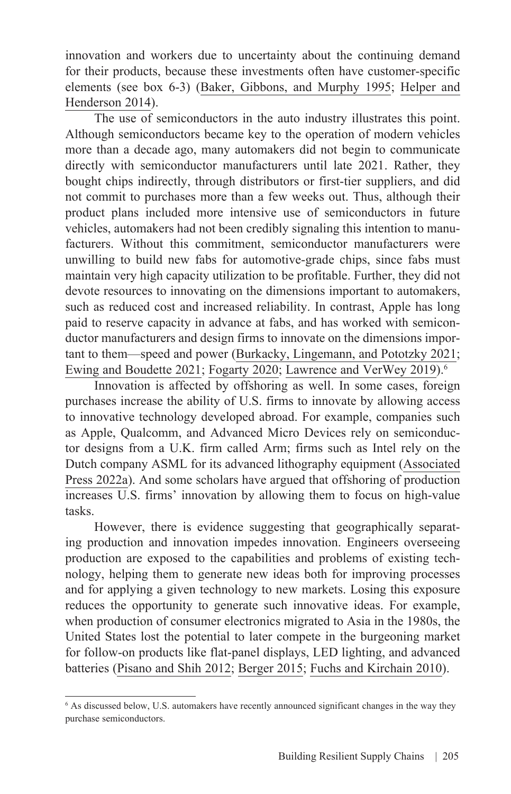innovation and workers due to uncertainty about the continuing demand for their products, because these investments often have customer-specific elements (see box 6-3) ([Baker, Gibbons, and Murphy 1995;](https://www.researchgate.net/publication/24091469_Subjective_Performance_Measures_in_Optimal_Incentive_Contracts) [Helper and](https://www.aeaweb.org/articles?id=10.1257/jep.28.1.49) [Henderson 2014](https://www.aeaweb.org/articles?id=10.1257/jep.28.1.49)).

The use of semiconductors in the auto industry illustrates this point. Although semiconductors became key to the operation of modern vehicles more than a decade ago, many automakers did not begin to communicate directly with semiconductor manufacturers until late 2021. Rather, they bought chips indirectly, through distributors or first-tier suppliers, and did not commit to purchases more than a few weeks out. Thus, although their product plans included more intensive use of semiconductors in future vehicles, automakers had not been credibly signaling this intention to manufacturers. Without this commitment, semiconductor manufacturers were unwilling to build new fabs for automotive-grade chips, since fabs must maintain very high capacity utilization to be profitable. Further, they did not devote resources to innovating on the dimensions important to automakers, such as reduced cost and increased reliability. In contrast, Apple has long paid to reserve capacity in advance at fabs, and has worked with semiconductor manufacturers and design firms to innovate on the dimensions important to them—speed and power [\(Burkacky, Lingemann, and Pototzky 2021](https://www.mckinsey.com/industries/automotive-and-assembly/our-insights/coping-with-the-auto-semiconductor-shortage-strategies-for-success); [Ewing and Boudette 2021;](https://www.nytimes.com/2021/04/23/business/auto-semiconductors-general-motors-mercedes.html) [Fogarty 2020;](https://www.spglobal.com/marketintelligence/en/news-insights/latest-news-headlines/apple-arm-using-80-of-tsmc-capacity-for-most-advanced-5nm-chips-61864034) [Lawrence and VerWey 2019](https://www.usitc.gov/publications/332/executive_briefings/ebot_amanda_lawrence_john_verwey_the_automotive_semiconductor_market_pdf.pdf)).6

Innovation is affected by offshoring as well. In some cases, foreign purchases increase the ability of U.S. firms to innovate by allowing access to innovative technology developed abroad. For example, companies such as Apple, Qualcomm, and Advanced Micro Devices rely on semiconductor designs from a U.K. firm called Arm; firms such as Intel rely on the Dutch company ASML for its advanced lithography equipment ([Associated](https://www.npr.org/2022/02/08/1079206347/arm-nvidia-deal-softbank-computer-chip;%20https:/www.asml.com/en/news/press-releases/2022/intel-and-asml-strengthen-their-collaboration-to-drive-high-na-into-manufacturing-in-2025) [Press 2022](https://www.npr.org/2022/02/08/1079206347/arm-nvidia-deal-softbank-computer-chip;%20https:/www.asml.com/en/news/press-releases/2022/intel-and-asml-strengthen-their-collaboration-to-drive-high-na-into-manufacturing-in-2025)a). And some scholars have argued that offshoring of production increases U.S. firms' innovation by allowing them to focus on high-value tasks.

However, there is evidence suggesting that geographically separating production and innovation impedes innovation. Engineers overseeing production are exposed to the capabilities and problems of existing technology, helping them to generate new ideas both for improving processes and for applying a given technology to new markets. Losing this exposure reduces the opportunity to generate such innovative ideas. For example, when production of consumer electronics migrated to Asia in the 1980s, the United States lost the potential to later compete in the burgeoning market for follow-on products like flat-panel displays, LED lighting, and advanced batteries ([Pisano and Shih 2012](https://hbr.org/2012/03/does-america-really-need-manufacturing); [Berger 2015;](https://mitpress.mit.edu/books/making-america) [Fuchs and Kirchain 2010](https://pubsonline.informs.org/doi/abs/10.1287/mnsc.1100.1227)).

<sup>6</sup> As discussed below, U.S. automakers have recently announced significant changes in the way they purchase semiconductors.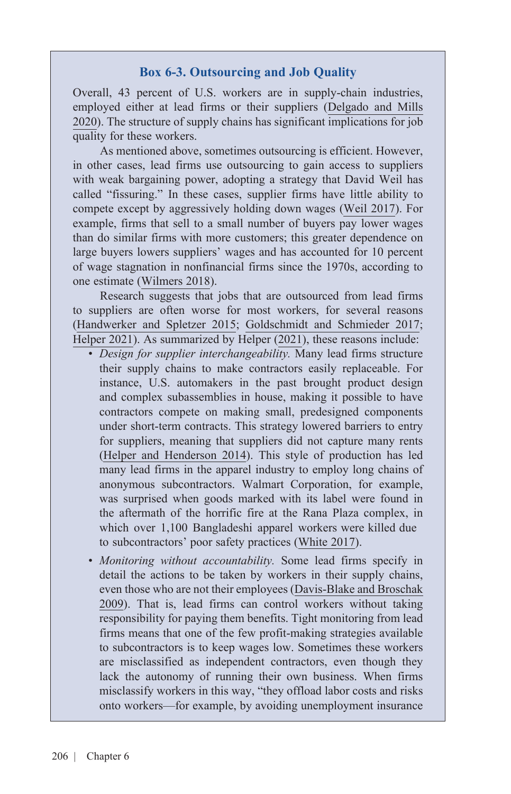#### **Box 6-3. Outsourcing and Job Quality**

Overall, 43 percent of U.S. workers are in supply-chain industries, employed either at lead firms or their suppliers [\(Delgado and Mills](https://www.hbs.edu/ris/Publication%20Files/1-s2.0-S0048733320301177-main_91317e57-9217-4a3d-9707-7f0b6034febc.pdf) [2020](https://www.hbs.edu/ris/Publication%20Files/1-s2.0-S0048733320301177-main_91317e57-9217-4a3d-9707-7f0b6034febc.pdf)). The structure of supply chains has significant implications for job quality for these workers.

As mentioned above, sometimes outsourcing is efficient. However, in other cases, lead firms use outsourcing to gain access to suppliers with weak bargaining power, adopting a strategy that David Weil has called "fissuring." In these cases, supplier firms have little ability to compete except by aggressively holding down wages [\(Weil 2017](https://www.hup.harvard.edu/catalog.php?isbn=9780674975446&content=reviews)). For example, firms that sell to a small number of buyers pay lower wages than do similar firms with more customers; this greater dependence on large buyers lowers suppliers' wages and has accounted for 10 percent of wage stagnation in nonfinancial firms since the 1970s, according to one estimate ([Wilmers 2018](https://journals.sagepub.com/doi/full/10.1177/0003122418762441)).

Research suggests that jobs that are outsourced from lead firms to suppliers are often worse for most workers, for several reasons ([Handwerker and Spletzer 2015](https://ftp.iza.org/dp9294.pdf); [Goldschmidt and Schmieder 2017](https://academic.oup.com/qje/article/132/3/1165/3746069?login=true); [Helper 2021](https://equitablegrowth.org/transforming-u-s-supply-chains-to-create-good-jobs/)). As summarized by Helper [\(2021](https://equitablegrowth.org/transforming-u-s-supply-chains-to-create-good-jobs/)), these reasons include:

- *Design for supplier interchangeability.* Many lead firms structure their supply chains to make contractors easily replaceable. For instance, U.S. automakers in the past brought product design and complex subassemblies in house, making it possible to have contractors compete on making small, predesigned components under short-term contracts. This strategy lowered barriers to entry for suppliers, meaning that suppliers did not capture many rents ([Helper and Henderson 2014\)](https://www.aeaweb.org/articles?id=10.1257/jep.28.1.49). This style of production has led many lead firms in the apparel industry to employ long chains of anonymous subcontractors. Walmart Corporation, for example, was surprised when goods marked with its label were found in the aftermath of the horrific fire at the Rana Plaza complex, in which over 1,100 Bangladeshi apparel workers were killed due to subcontractors' poor safety practices ([White 2017\)](https://www.theatlantic.com/business/archive/2017/05/rana-plaza-four-years-later/525252/).
- *Monitoring without accountability.* Some lead firms specify in detail the actions to be taken by workers in their supply chains, [even those who are not their employees \(Davis-Blake and Broschak](https://www.jstor.org/stable/27800081?seq=4#metadata_info_tab_contents) 2009). That is, lead firms can control workers without taking responsibility for paying them benefits. Tight monitoring from lead firms means that one of the few profit-making strategies available to subcontractors is to keep wages low. Sometimes these workers are misclassified as independent contractors, even though they lack the autonomy of running their own business. When firms misclassify workers in this way, "they offload labor costs and risks onto workers—for example, by avoiding unemployment insurance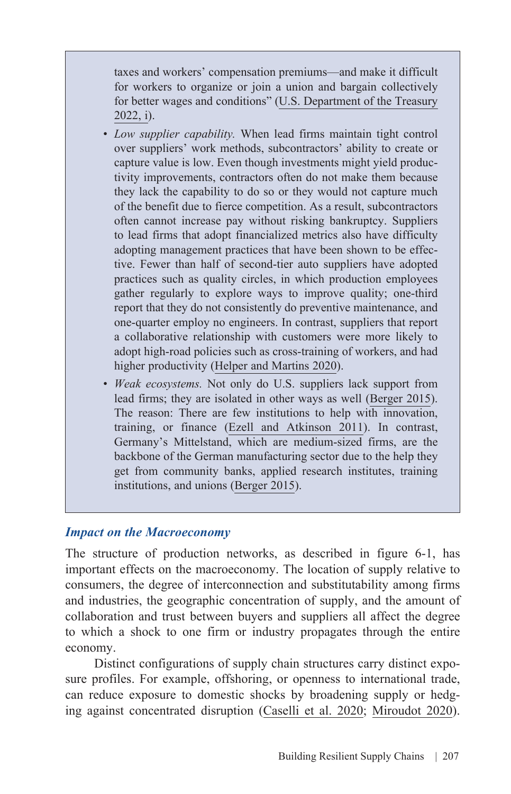taxes and workers' compensation premiums—and make it difficult for workers to organize or join a union and bargain collectively for better wages and conditions" ([U.S. Department of the Treasury](https://home.treasury.gov/system/files/136/State-of-Labor-Market-Competition-2022.pdf) [2022](https://home.treasury.gov/system/files/136/State-of-Labor-Market-Competition-2022.pdf), i).

- *Low supplier capability.* When lead firms maintain tight control over suppliers' work methods, subcontractors' ability to create or capture value is low. Even though investments might yield productivity improvements, contractors often do not make them because they lack the capability to do so or they would not capture much of the benefit due to fierce competition. As a result, subcontractors often cannot increase pay without risking bankruptcy. Suppliers to lead firms that adopt financialized metrics also have difficulty adopting management practices that have been shown to be effective. Fewer than half of second-tier auto suppliers have adopted practices such as quality circles, in which production employees gather regularly to explore ways to improve quality; one-third report that they do not consistently do preventive maintenance, and one-quarter employ no engineers. In contrast, suppliers that report a collaborative relationship with customers were more likely to adopt high-road policies such as cross-training of workers, and had higher productivity ([Helper and Martins 2020\)](https://mitpress.mit.edu/books/creating-good-jobs).
- *Weak ecosystems*. Not only do U.S. suppliers lack support from lead firms; they are isolated in other ways as well [\(Berger 2015\)](https://mitpress.mit.edu/books/making-america). The reason: There are few institutions to help with innovation, training, or finance [\(Ezell and Atkinson 2011\)](http://www.itif.org/files/2011-sme-manufacturing-tech-programss-new.pdf). In contrast, Germany's Mittelstand, which are medium-sized firms, are the backbone of the German manufacturing sector due to the help they get from community banks, applied research institutes, training institutions, and unions [\(Berger 2015](https://mitpress.mit.edu/books/making-america)).

#### *Impact on the Macroeconomy*

The structure of production networks, as described in figure 6-1, has important effects on the macroeconomy. The location of supply relative to consumers, the degree of interconnection and substitutability among firms and industries, the geographic concentration of supply, and the amount of collaboration and trust between buyers and suppliers all affect the degree to which a shock to one firm or industry propagates through the entire economy.

Distinct configurations of supply chain structures carry distinct exposure profiles. For example, offshoring, or openness to international trade, can reduce exposure to domestic shocks by broadening supply or hedging against concentrated disruption ([Caselli et al. 2020;](https://academic.oup.com/qje/article/135/1/449/5571811?login=true) [Miroudot 2020\)](https://voxeu.org/article/resilience-versus-robustness-global-value-chains).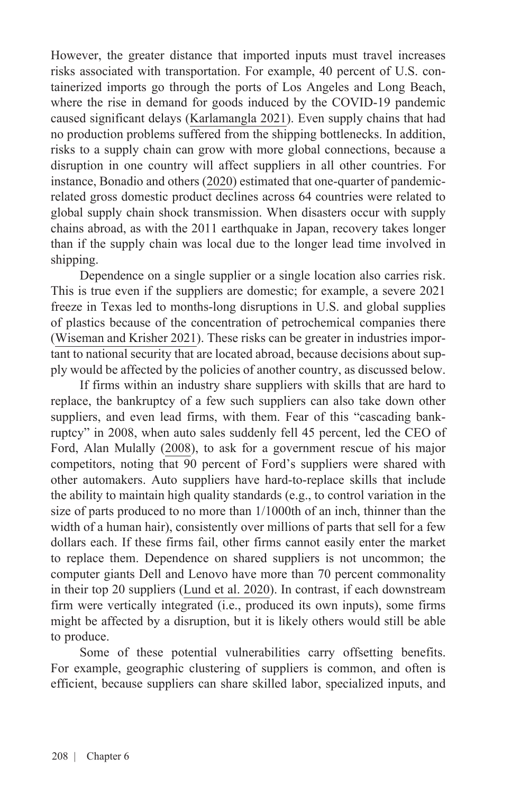However, the greater distance that imported inputs must travel increases risks associated with transportation. For example, 40 percent of U.S. containerized imports go through the ports of Los Angeles and Long Beach, where the rise in demand for goods induced by the COVID-19 pandemic caused significant delays [\(Karlamangla 2021](https://www.nytimes.com/2021/10/18/us/port-of-los-angeles-supply-chain.html)). Even supply chains that had no production problems suffered from the shipping bottlenecks. In addition, risks to a supply chain can grow with more global connections, because a disruption in one country will affect suppliers in all other countries. For instance, [Bonadio and others \(2020\)](https://ideas.repec.org/p/nbr/nberwo/27224.html) estimated that one-quarter of pandemicrelated gross domestic product declines across 64 countries were related to global supply chain shock transmission. When disasters occur with supply chains abroad, as with the 2011 earthquake in Japan, recovery takes longer than if the supply chain was local due to the longer lead time involved in shipping.

Dependence on a single supplier or a single location also carries risk. This is true even if the suppliers are domestic; for example, a severe 2021 freeze in Texas led to months-long disruptions in U.S. and global supplies of plastics because of the concentration of petrochemical companies there ([Wiseman and Krisher 2021\)](https://www.pbs.org/newshour/economy/chemical-shortage-inflates-paints-and-plastics-prices). These risks can be greater in industries important to national security that are located abroad, because decisions about supply would be affected by the policies of another country, as discussed below.

If firms within an industry share suppliers with skills that are hard to replace, the bankruptcy of a few such suppliers can also take down other suppliers, and even lead firms, with them. Fear of this "cascading bankruptcy" in 2008, when auto sales suddenly fell 45 percent, led the CEO of Ford, Alan Mulally ([2008](https://www.banking.senate.gov/imo/media/doc/Mulally0Ford12408FinalWrittenTestimony.pdf)), to ask for a government rescue of his major competitors, noting that 90 percent of Ford's suppliers were shared with other automakers. Auto suppliers have hard-to-replace skills that include the ability to maintain high quality standards (e.g., to control variation in the size of parts produced to no more than 1/1000th of an inch, thinner than the width of a human hair), consistently over millions of parts that sell for a few dollars each. If these firms fail, other firms cannot easily enter the market to replace them. Dependence on shared suppliers is not uncommon; the computer giants Dell and Lenovo have more than 70 percent commonality in their top 20 suppliers ([Lund et al. 2020\).](https://www.mckinsey.com/business-functions/operations/our-insights/risk-resilience-and-rebalancing-in-global-value-chains) In contrast, if each downstream firm were vertically integrated (i.e., produced its own inputs), some firms might be affected by a disruption, but it is likely others would still be able to produce.

Some of these potential vulnerabilities carry offsetting benefits. For example, geographic clustering of suppliers is common, and often is efficient, because suppliers can share skilled labor, specialized inputs, and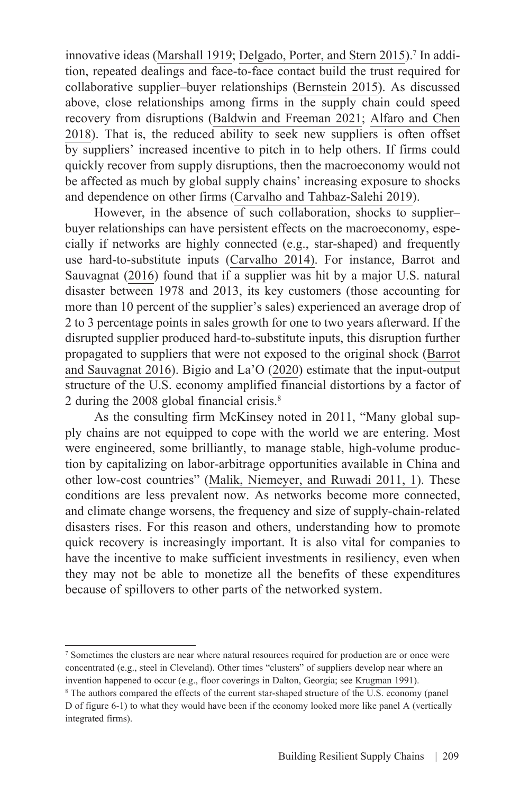innovative ideas [\(Marshall 1919](https://socialsciences.mcmaster.ca/econ/ugcm/3ll3/marshall/Industry&Trade.pdf); [Delgado, Porter, and Stern 2015\)](https://academic.oup.com/joeg/article-abstract/16/1/1/2413044).<sup>7</sup> In addition, repeated dealings and face-to-face contact build the trust required for collaborative supplier–buyer relationships ([Bernstein 2015\)](https://academic.oup.com/jla/article/7/2/561/1753667). As discussed above, close relationships among firms in the supply chain could speed recovery from disruptions [\(Baldwin and Freeman 2021](https://www.nber.org/papers/w29444); [Alfaro and Chen](https://www.aeaweb.org/articles?id=10.1257/pol.20150437)  [2018\)](https://www.aeaweb.org/articles?id=10.1257/pol.20150437). That is, the reduced ability to seek new suppliers is often offset by suppliers' increased incentive to pitch in to help others. If firms could quickly recover from supply disruptions, then the macroeconomy would not be affected as much by global supply chains' increasing exposure to shocks and dependence on other firms [\(Carvalho and Tahbaz-Salehi 2019\)](https://www.kellogg.northwestern.edu/faculty/alirezat/ProductionNetworksPrimer.pdf).

However, in the absence of such collaboration, shocks to supplier– buyer relationships can have persistent effects on the macroeconomy, especially if networks are highly connected (e.g., star-shaped) and frequently use hard-to-substitute inputs ([Carvalho 2014\)](https://pubs.aeaweb.org/doi/pdf/10.1257/jep.28.4.23). For instance, [Barrot and](https://academic.oup.com/qje/article/131/3/1543/2461213?login=true)  [Sauvagnat \(2016\)](https://academic.oup.com/qje/article/131/3/1543/2461213?login=true) found that if a supplier was hit by a major U.S. natural disaster between 1978 and 2013, its key customers (those accounting for more than 10 percent of the supplier's sales) experienced an average drop of 2 to 3 percentage points in sales growth for one to two years afterward. If the disrupted supplier produced hard-to-substitute inputs, this disruption further propagated to suppliers that were not exposed to the original shock ([Barrot](https://academic.oup.com/qje/article/131/3/1543/2461213?login=true)  [and Sauvagnat 2016\)](https://academic.oup.com/qje/article/131/3/1543/2461213?login=true). [Bigio and La'O \(2020](https://ideas.repec.org/a/oup/qjecon/v135y2020i4p2187-2253..html)) estimate that the input-output structure of the U.S. economy amplified financial distortions by a factor of 2 during the 2008 global financial crisis.8

As the consulting firm McKinsey noted in 2011, "Many global supply chains are not equipped to cope with the world we are entering. Most were engineered, some brilliantly, to manage stable, high-volume production by capitalizing on labor-arbitrage opportunities available in China and other low-cost countries" ([Malik, Niemeyer, and Ruwadi 2011,](https://www.mckinsey.com/business-functions/operations/our-insights/building-the-supply-chain-of-the-future) 1). These conditions are less prevalent now. As networks become more connected, and climate change worsens, the frequency and size of supply-chain-related disasters rises. For this reason and others, understanding how to promote quick recovery is increasingly important. It is also vital for companies to have the incentive to make sufficient investments in resiliency, even when they may not be able to monetize all the benefits of these expenditures because of spillovers to other parts of the networked system.

<sup>7</sup> Sometimes the clusters are near where natural resources required for production are or once were concentrated (e.g., steel in Cleveland). Other times "clusters" of suppliers develop near where an invention happened to occur (e.g., floor coverings in Dalton, Georgia; see [Krugman 1991\)](https://pr.princeton.edu/pictures/g-k/krugman/krugman-increasing_returns_1991.pdf).

<sup>&</sup>lt;sup>8</sup> The authors compared the effects of the current star-shaped structure of the U.S. economy (panel D of figure 6-1) to what they would have been if the economy looked more like panel A (vertically integrated firms).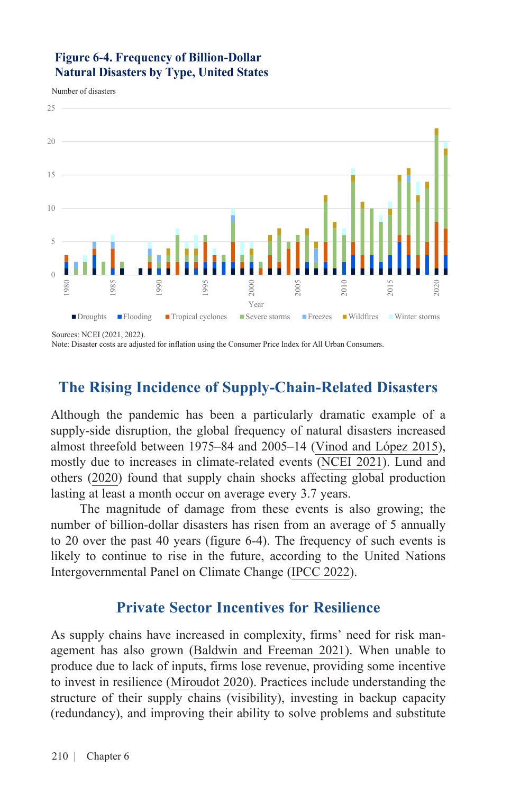#### **Figure 6-4. Frequency of Billion-Dollar Natural Disasters by Type, United States**

Number of disasters



Sources: NCEI (2021, 2022).

Note: Disaster costs are adjusted for inflation using the Consumer Price Index for All Urban Consumers.

# **The Rising Incidence of Supply-Chain-Related Disasters**

Although the pandemic has been a particularly dramatic example of a supply-side disruption, the global frequency of natural disasters increased almost threefold between 1975–84 and 2005–14 [\(Vinod and López 2015\)](https://www.adb.org/publications/global-increase-climate-related-disasters), mostly due to increases in climate-related events [\(NCEI 2021\)](https://www.ncdc.noaa.gov/billions/time-series). [Lund and](https://www.mckinsey.com/business-functions/operations/our-insights/risk-resilience-and-rebalancing-in-global-value-chains) [others \(2020\)](https://www.mckinsey.com/business-functions/operations/our-insights/risk-resilience-and-rebalancing-in-global-value-chains) found that supply chain shocks affecting global production lasting at least a month occur on average every 3.7 years.

The magnitude of damage from these events is also growing; the number of billion-dollar disasters has risen from an average of 5 annually to 20 over the past 40 years (figure 6-4). The frequency of such events is likely to continue to rise in the future, according to the United Nations Intergovernmental Panel on Climate Change [\(IPCC 2022\)](https://www.ipcc.ch/report/ar6/wg2/).

# **Private Sector Incentives for Resilience**

As supply chains have increased in complexity, firms' need for risk management has also grown [\(Baldwin and Freeman 2021\)](https://www.nber.org/system/files/working_papers/w29444/w29444.pdf). When unable to produce due to lack of inputs, firms lose revenue, providing some incentive to invest in resilience [\(Miroudot 2020](https://voxeu.org/article/resilience-versus-robustness-global-value-chains)). Practices include understanding the structure of their supply chains (visibility), investing in backup capacity (redundancy), and improving their ability to solve problems and substitute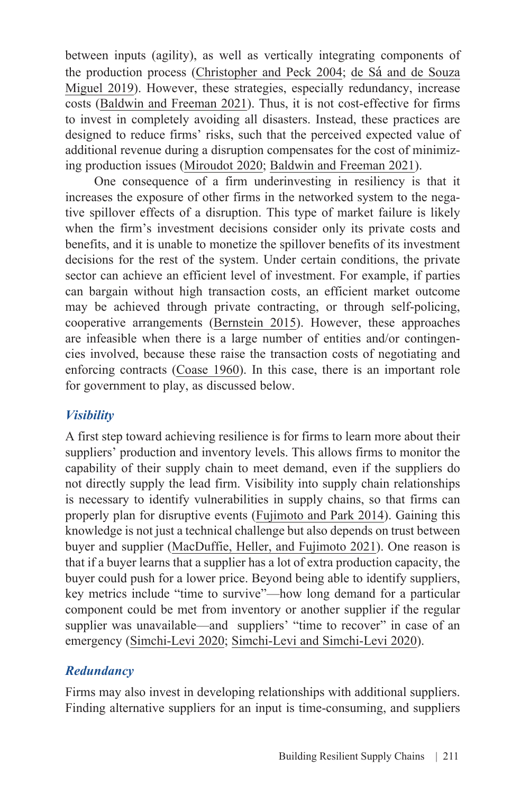between inputs (agility), as well as vertically integrating components of the production process [\(Christopher and Peck 2004;](https://www.emerald.com/insight/content/doi/10.1108/09574090410700275/full/html) de Sá [and de Souza](https://bibliotecadigital.fgv.br/dspace/bitstream/handle/10438/28521/Sa%20et%20al%20IJOPM-09-2017-0510.pdf)  [Miguel 2019\)](https://bibliotecadigital.fgv.br/dspace/bitstream/handle/10438/28521/Sa%20et%20al%20IJOPM-09-2017-0510.pdf). However, these strategies, especially redundancy, increase costs ([Baldwin and Freeman 2021\)](https://www.nber.org/system/files/working_papers/w29444/w29444.pdf). Thus, it is not cost-effective for firms to invest in completely avoiding all disasters. Instead, these practices are designed to reduce firms' risks, such that the perceived expected value of additional revenue during a disruption compensates for the cost of minimizing production issues [\(Miroudot 2020;](https://voxeu.org/article/resilience-versus-robustness-global-value-chains) [Baldwin and Freeman 2021](https://www.nber.org/system/files/working_papers/w29444/w29444.pdf)).

One consequence of a firm underinvesting in resiliency is that it increases the exposure of other firms in the networked system to the negative spillover effects of a disruption. This type of market failure is likely when the firm's investment decisions consider only its private costs and benefits, and it is unable to monetize the spillover benefits of its investment decisions for the rest of the system. Under certain conditions, the private sector can achieve an efficient level of investment. For example, if parties can bargain without high transaction costs, an efficient market outcome may be achieved through private contracting, or through self-policing, cooperative arrangements ([Bernstein 2015](https://academic.oup.com/jla/article/7/2/561/1753667?login=true)). However, these approaches are infeasible when there is a large number of entities and/or contingencies involved, because these raise the transaction costs of negotiating and enforcing contracts [\(Coase 1960](https://www.jstor.org/stable/724810?seq=1#metadata_info_tab_contents)). In this case, there is an important role for government to play, as discussed below.

### *Visibility*

A first step toward achieving resilience is for firms to learn more about their suppliers' production and inventory levels. This allows firms to monitor the capability of their supply chain to meet demand, even if the suppliers do not directly supply the lead firm. Visibility into supply chain relationships is necessary to identify vulnerabilities in supply chains, so that firms can properly plan for disruptive events ([Fujimoto and Park 2014\)](https://waseda.pure.elsevier.com/en/publications/balancing-supply-chain-competitiveness-and-robustness-through-vir). Gaining this knowledge is not just a technical challenge but also depends on trust between buyer and supplier [\(MacDuffie, Heller, and Fujimoto 2021\)](https://mackinstitute.wharton.upenn.edu/2021/building-supply-chain-continuity-capabilities-for-a-post-pandemic-world/). One reason is that if a buyer learns that a supplier has a lot of extra production capacity, the buyer could push for a lower price. Beyond being able to identify suppliers, key metrics include "time to survive"—how long demand for a particular component could be met from inventory or another supplier if the regular supplier was unavailable—and suppliers' "time to recover" in case of an emergency ([Simchi-Levi 2020;](https://sloanreview.mit.edu/article/three-scenarios-to-guide-your-global-supply-chain-recovery/) [Simchi-Levi and Simchi-Levi 2020](https://hbr.org/2020/04/we-need-a-stress-test-for-critical-supply-chains?registration=success)).

### *Redundancy*

Firms may also invest in developing relationships with additional suppliers. Finding alternative suppliers for an input is time-consuming, and suppliers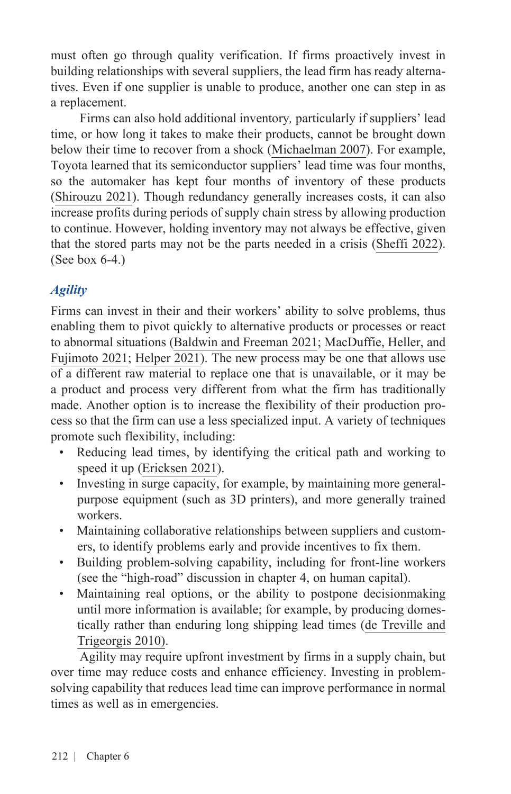must often go through quality verification. If firms proactively invest in building relationships with several suppliers, the lead firm has ready alternatives. Even if one supplier is unable to produce, another one can step in as a replacement.

Firms can also hold additional inventory*,* particularly if suppliers' lead time, or how long it takes to make their products, cannot be brought down below their time to recover from a shock ([Michaelman 2007\)](https://hbr.org/2007/08/building-a-resilient-supply-ch%20percent20May%20percent2011). For example, Toyota learned that its semiconductor suppliers' lead time was four months, so the automaker has kept four months of inventory of these products ([Shirouzu 2021](https://www.reuters.com/article/us-japan-fukushima-anniversary-toyota-in/how-toyota-thrives-when-the-chips-are-down-idUSKBN2B1005)). Though redundancy generally increases costs, it can also increase profits during periods of supply chain stress by allowing production to continue. However, holding inventory may not always be effective, given that the stored parts may not be the parts needed in a crisis [\(Sheffi 2022\)](https://www.wsj.com/articles/commentary-pandemic-shortages-havent-shattered-the-case-for-just-in-time-supply-chains-11643547604). (See box 6-4.)

### *Agility*

Firms can invest in their and their workers' ability to solve problems, thus enabling them to pivot quickly to alternative products or processes or react to abnormal situations ([Baldwin and Freeman 2021;](https://www.nber.org/papers/w29444) [MacDuffie, Heller, and](https://mackinstitute.wharton.upenn.edu/2021/building-supply-chain-continuity-capabilities-for-a-post-pandemic-world/) [Fujimoto 2021;](https://mackinstitute.wharton.upenn.edu/2021/building-supply-chain-continuity-capabilities-for-a-post-pandemic-world/) [Helper 202](https://equitablegrowth.org/transforming-u-s-supply-chains-to-create-good-jobs/)1). The new process may be one that allows use of a different raw material to replace one that is unavailable, or it may be a product and process very different from what the firm has traditionally made. Another option is to increase the flexibility of their production process so that the firm can use a less specialized input. A variety of techniques promote such flexibility, including:

- Reducing lead times, by identifying the critical path and working to speed it up ([Ericksen 2021\)](https://books.google.com/books/about/Better_Business.html?id=Oa5ezgEACAAJ).
- Investing in surge capacity, for example, by maintaining more generalpurpose equipment (such as 3D printers), and more generally trained workers.
- Maintaining collaborative relationships between suppliers and customers, to identify problems early and provide incentives to fix them.
- Building problem-solving capability, including for front-line workers (see the "high-road" discussion in chapter 4, on human capital).
- Maintaining real options, or the ability to postpone decisionmaking until more information is available; for example, by producing domestically rather than enduring long shipping lead times [\(de Treville and](https://hbr.org/2010/10/it-may-be-cheaper-to-manufacture-at-home) [Trigeorgis 2010](https://hbr.org/2010/10/it-may-be-cheaper-to-manufacture-at-home)).

Agility may require upfront investment by firms in a supply chain, but over time may reduce costs and enhance efficiency. Investing in problemsolving capability that reduces lead time can improve performance in normal times as well as in emergencies.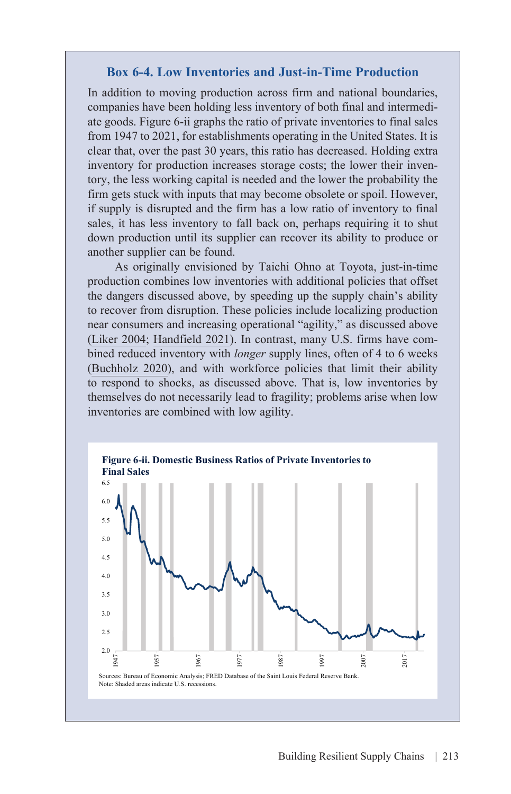#### **Box 6-4. Low Inventories and Just-in-Time Production**

In addition to moving production across firm and national boundaries, companies have been holding less inventory of both final and intermediate goods. Figure 6-ii graphs the ratio of private inventories to final sales from 1947 to 2021, for establishments operating in the United States. It is clear that, over the past 30 years, this ratio has decreased. Holding extra inventory for production increases storage costs; the lower their inventory, the less working capital is needed and the lower the probability the firm gets stuck with inputs that may become obsolete or spoil. However, if supply is disrupted and the firm has a low ratio of inventory to final sales, it has less inventory to fall back on, perhaps requiring it to shut down production until its supplier can recover its ability to produce or another supplier can be found.

As originally envisioned by Taichi Ohno at Toyota, just-in-time production combines low inventories with additional policies that offset the dangers discussed above, by speeding up the supply chain's ability to recover from disruption. These policies include localizing production near consumers and increasing operational "agility," as discussed above ([Liker 2004;](https://thetoyotaway.org/product/the-toyota-way/) [Handfield 2021](https://www.washingtonpost.com/outlook/five-myths/supply-chain-myths/2021/11/24/f439dbec-4ca1-11ec-b0b0-766bbbe79347_story.html)). In contrast, many U.S. firms have combined reduced inventory with *longer* supply lines, often of 4 to 6 weeks ([Buchholz 2020\)](https://www.weforum.org/agenda/2021/11/major-delays-china-united-states-shipping/), and with workforce policies that limit their ability to respond to shocks, as discussed above. That is, low inventories by themselves do not necessarily lead to fragility; problems arise when low inventories are combined with low agility.

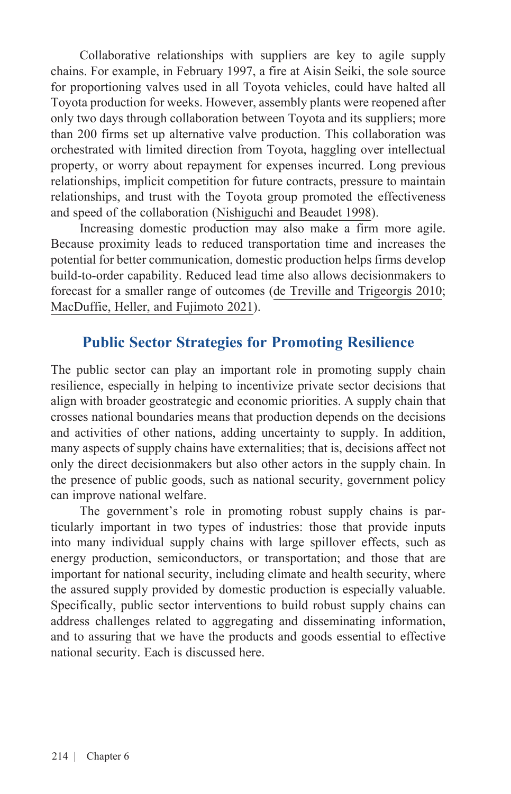Collaborative relationships with suppliers are key to agile supply chains. For example, in February 1997, a fire at Aisin Seiki, the sole source for proportioning valves used in all Toyota vehicles, could have halted all Toyota production for weeks. However, assembly plants were reopened after only two days through collaboration between Toyota and its suppliers; more than 200 firms set up alternative valve production. This collaboration was orchestrated with limited direction from Toyota, haggling over intellectual property, or worry about repayment for expenses incurred. Long previous relationships, implicit competition for future contracts, pressure to maintain relationships, and trust with the Toyota group promoted the effectiveness and speed of the collaboration [\(Nishiguchi and Beaudet 1998](https://sloanreview.mit.edu/article/the-toyota-group-and-the-aisin-fire/)).

Increasing domestic production may also make a firm more agile. Because proximity leads to reduced transportation time and increases the potential for better communication, domestic production helps firms develop build-to-order capability. Reduced lead time also allows decisionmakers to forecast for a smaller range of outcomes [\(de Treville and Trigeorgis 2010](https://hbr.org/2010/10/it-may-be-cheaper-to-manufacture-at-home); [MacDuffie, Heller, and Fujimoto 2021\)](https://mackinstitute.wharton.upenn.edu/2021/building-supply-chain-continuity-capabilities-for-a-post-pandemic-world/).

# **Public Sector Strategies for Promoting Resilience**

The public sector can play an important role in promoting supply chain resilience, especially in helping to incentivize private sector decisions that align with broader geostrategic and economic priorities. A supply chain that crosses national boundaries means that production depends on the decisions and activities of other nations, adding uncertainty to supply. In addition, many aspects of supply chains have externalities; that is, decisions affect not only the direct decisionmakers but also other actors in the supply chain. In the presence of public goods, such as national security, government policy can improve national welfare.

The government's role in promoting robust supply chains is particularly important in two types of industries: those that provide inputs into many individual supply chains with large spillover effects, such as energy production, semiconductors, or transportation; and those that are important for national security, including climate and health security, where the assured supply provided by domestic production is especially valuable. Specifically, public sector interventions to build robust supply chains can address challenges related to aggregating and disseminating information, and to assuring that we have the products and goods essential to effective national security. Each is discussed here.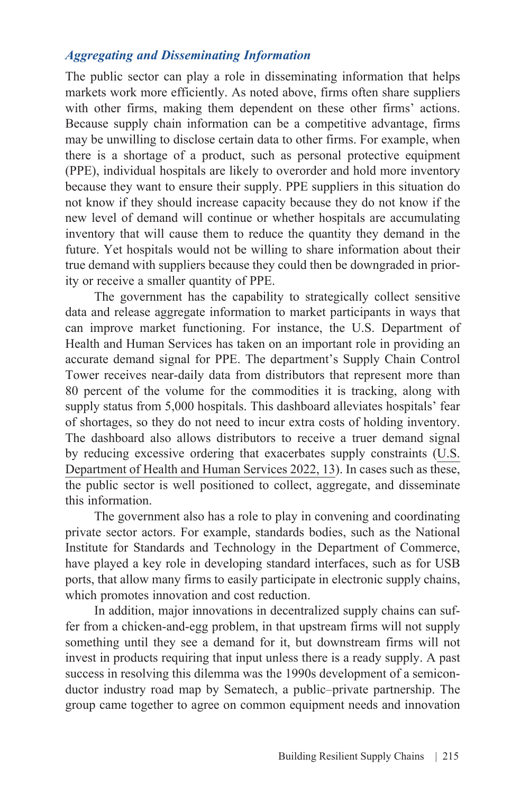#### *Aggregating and Disseminating Information*

The public sector can play a role in disseminating information that helps markets work more efficiently. As noted above, firms often share suppliers with other firms, making them dependent on these other firms' actions. Because supply chain information can be a competitive advantage, firms may be unwilling to disclose certain data to other firms. For example, when there is a shortage of a product, such as personal protective equipment (PPE), individual hospitals are likely to overorder and hold more inventory because they want to ensure their supply. PPE suppliers in this situation do not know if they should increase capacity because they do not know if the new level of demand will continue or whether hospitals are accumulating inventory that will cause them to reduce the quantity they demand in the future. Yet hospitals would not be willing to share information about their true demand with suppliers because they could then be downgraded in priority or receive a smaller quantity of PPE.

The government has the capability to strategically collect sensitive data and release aggregate information to market participants in ways that can improve market functioning. For instance, the U.S. Department of Health and Human Services has taken on an important role in providing an accurate demand signal for PPE. The department's Supply Chain Control Tower receives near-daily data from distributors that represent more than 80 percent of the volume for the commodities it is tracking, along with supply status from 5,000 hospitals. This dashboard alleviates hospitals' fear of shortages, so they do not need to incur extra costs of holding inventory. The dashboard also allows distributors to receive a truer demand signal by reducing excessive ordering that exacerbates supply constraints ([U.S.](https://aspr.hhs.gov/MCM/IBx/2022Report/Documents/Public-Health-Supply-Chain-and-Industrial-Base%20One-Year-Report-Feb2022.pdf)  [Department of Health and Human Services 2022,](https://aspr.hhs.gov/MCM/IBx/2022Report/Documents/Public-Health-Supply-Chain-and-Industrial-Base%20One-Year-Report-Feb2022.pdf) 13). In cases such as these, the public sector is well positioned to collect, aggregate, and disseminate this information.

The government also has a role to play in convening and coordinating private sector actors. For example, standards bodies, such as the National Institute for Standards and Technology in the Department of Commerce, have played a key role in developing standard interfaces, such as for USB ports, that allow many firms to easily participate in electronic supply chains, which promotes innovation and cost reduction.

In addition, major innovations in decentralized supply chains can suffer from a chicken-and-egg problem, in that upstream firms will not supply something until they see a demand for it, but downstream firms will not invest in products requiring that input unless there is a ready supply. A past success in resolving this dilemma was the 1990s development of a semiconductor industry road map by Sematech, a public–private partnership. The group came together to agree on common equipment needs and innovation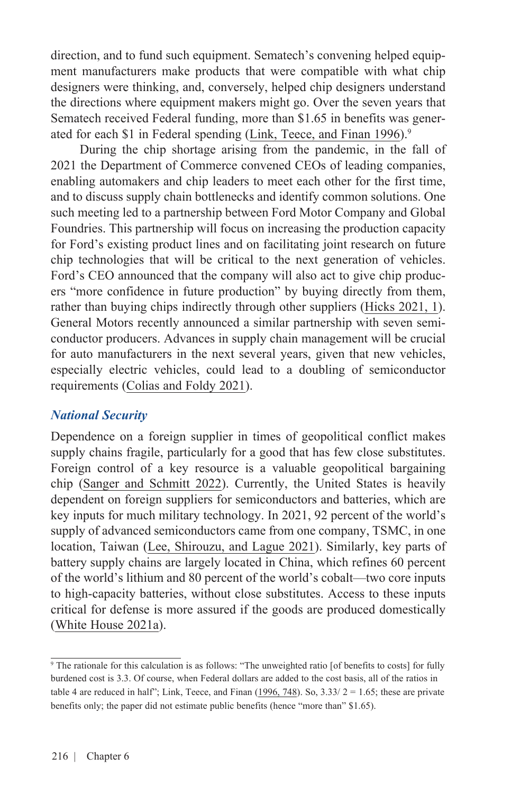direction, and to fund such equipment. Sematech's convening helped equipment manufacturers make products that were compatible with what chip designers were thinking, and, conversely, helped chip designers understand the directions where equipment makers might go. Over the seven years that Sematech received Federal funding, more than \$1.65 in benefits was gener-ated for each \$1 in Federal spending ([Link, Teece, and Finan 1996](https://www.jstor.org/stable/41798663)).<sup>9</sup>

During the chip shortage arising from the pandemic, in the fall of 2021 the Department of Commerce convened CEOs of leading companies, enabling automakers and chip leaders to meet each other for the first time, and to discuss supply chain bottlenecks and identify common solutions. One such meeting led to a partnership between Ford Motor Company and Global Foundries. This partnership will focus on increasing the production capacity for Ford's existing product lines and on facilitating joint research on future chip technologies that will be critical to the next generation of vehicles. Ford's CEO announced that the company will also act to give chip producers "more confidence in future production" by buying directly from them, rather than buying chips indirectly through other suppliers ([Hicks 2021,](https://www.theverge.com/2021/11/18/22789413/ford-gm-chip-shortage-globalfoundries-qualcomm-tsmc) 1). General Motors recently announced a similar partnership with seven semiconductor producers. Advances in supply chain management will be crucial for auto manufacturers in the next several years, given that new vehicles, especially electric vehicles, could lead to a doubling of semiconductor requirements ([Colias and Foldy 2021](https://www.wsj.com/articles/ford-enters-semiconductor-business-amid-chip-shortage-impact-11637242202?msclkid=be7f09d0a3f411ecac9125b27ad9d404)).

#### *National Security*

Dependence on a foreign supplier in times of geopolitical conflict makes supply chains fragile, particularly for a good that has few close substitutes. Foreign control of a key resource is a valuable geopolitical bargaining chip ([Sanger and Schmitt 2022](https://www.nytimes.com/2022/01/08/us/politics/us-sanctions-russia-ukraine.html)). Currently, the United States is heavily dependent on foreign suppliers for semiconductors and batteries, which are key inputs for much military technology. In 2021, 92 percent of the world's supply of advanced semiconductors came from one company, TSMC, in one location, Taiwan [\(Lee, Shirouzu, and Lague 2021\)](https://www.reuters.com/investigates/special-report/taiwan-china-chips/#:~:text=TSMC%20accounts%20for%20more%20than,of%20their%20increasingly%20tense%20rivalry). Similarly, key parts of battery supply chains are largely located in China, which refines 60 percent of the world's lithium and 80 percent of the world's cobalt—two core inputs to high-capacity batteries, without close substitutes. Access to these inputs critical for defense is more assured if the goods are produced domestically ([White House 2021a](https://www.whitehouse.gov/wp-content/uploads/2021/06/100-day-supply-chain-review-report.pdf)).

<sup>9</sup> The rationale for this calculation is as follows: "The unweighted ratio [of benefits to costs] for fully burdened cost is 3.3. Of course, when Federal dollars are added to the cost basis, all of the ratios in table 4 are reduced in half"; Link, Teece, and Finan ([1996, 748\)](https://link.springer.com/article/10.1007/BF00214832). So,  $3.33/2 = 1.65$ ; these are private benefits only; the paper did not estimate public benefits (hence "more than" \$1.65).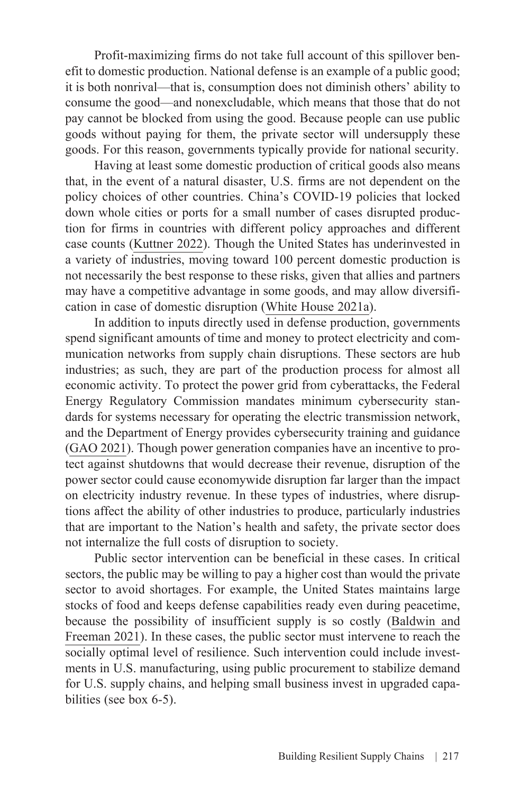Profit-maximizing firms do not take full account of this spillover benefit to domestic production. National defense is an example of a public good; it is both nonrival—that is, consumption does not diminish others' ability to consume the good—and nonexcludable, which means that those that do not pay cannot be blocked from using the good. Because people can use public goods without paying for them, the private sector will undersupply these goods. For this reason, governments typically provide for national security.

Having at least some domestic production of critical goods also means that, in the event of a natural disaster, U.S. firms are not dependent on the policy choices of other countries. China's COVID-19 policies that locked down whole cities or ports for a small number of cases disrupted production for firms in countries with different policy approaches and different case counts [\(Kuttner 2022\)](https://prospect.org/economy/china-epicenter-of-the-supply-chain-crisis/). Though the United States has underinvested in a variety of industries, moving toward 100 percent domestic production is not necessarily the best response to these risks, given that allies and partners may have a competitive advantage in some goods, and may allow diversification in case of domestic disruption ([White House 2021a\)](https://www.whitehouse.gov/wp-content/uploads/2021/06/100-day-supply-chain-review-report.pdf).

In addition to inputs directly used in defense production, governments spend significant amounts of time and money to protect electricity and communication networks from supply chain disruptions. These sectors are hub industries; as such, they are part of the production process for almost all economic activity. To protect the power grid from cyberattacks, the Federal Energy Regulatory Commission mandates minimum cybersecurity standards for systems necessary for operating the electric transmission network, and the Department of Energy provides cybersecurity training and guidance ([GAO 2021\). T](https://www.gao.gov/assets/gao-21-81.pdf)hough power generation companies have an incentive to protect against shutdowns that would decrease their revenue, disruption of the power sector could cause economywide disruption far larger than the impact on electricity industry revenue. In these types of industries, where disruptions affect the ability of other industries to produce, particularly industries that are important to the Nation's health and safety, the private sector does not internalize the full costs of disruption to society.

Public sector intervention can be beneficial in these cases. In critical sectors, the public may be willing to pay a higher cost than would the private sector to avoid shortages. For example, the United States maintains large stocks of food and keeps defense capabilities ready even during peacetime, because the possibility of insufficient supply is so costly ([Baldwin and](https://www.nber.org/system/files/working_papers/w29444/w29444.pdf)  [Freeman 2021\)](https://www.nber.org/system/files/working_papers/w29444/w29444.pdf). In these cases, the public sector must intervene to reach the socially optimal level of resilience. Such intervention could include investments in U.S. manufacturing, using public procurement to stabilize demand for U.S. supply chains, and helping small business invest in upgraded capabilities (see box 6-5).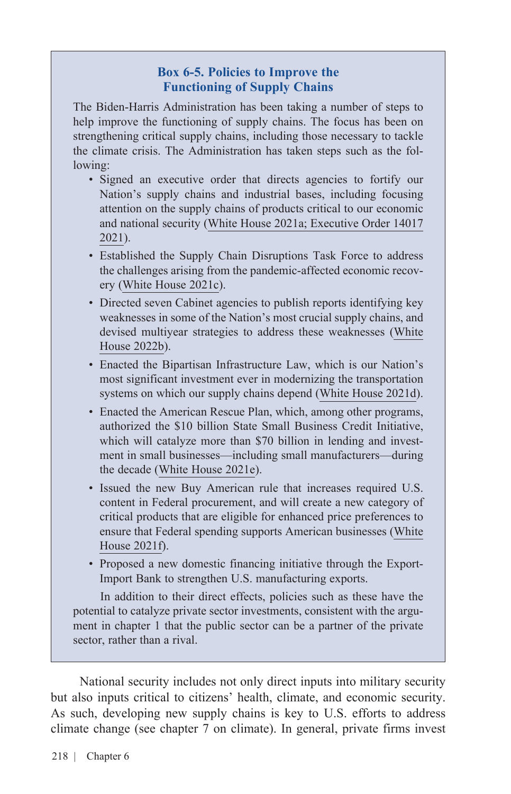#### **Box 6-5. Policies to Improve the Functioning of Supply Chains**

The Biden-Harris Administration has been taking a number of steps to help improve the functioning of supply chains. The focus has been on strengthening critical supply chains, including those necessary to tackle the climate crisis. The Administration has taken steps such as the following:

- Signed an executive order that directs agencies to fortify our Nation's supply chains and industrial bases, including focusing attention on the supply chains of products critical to our economic and national security ([White House 2021a;](https://www.whitehouse.gov/briefing-room/presidential-actions/2021/02/24/executive-order-on-americas-supply-chains/) [Executive Order 14017](https://www.whitehouse.gov/briefing-room/presidential-actions/2021/02/24/executive-order-on-americas-supply-chains/) [2021](https://www.whitehouse.gov/briefing-room/presidential-actions/2021/02/24/executive-order-on-americas-supply-chains/)).
- Established the Supply Chain Disruptions Task Force to address the challenges arising from the pandemic-affected economic recovery [\(White House 2021c](https://www.whitehouse.gov/briefing-room/statements-releases/2021/06/08/fact-sheet-biden-harris-administration-announces-supply-chain-disruptions-task-force-to-address-short-term-supply-chain-discontinuities/)).
- Directed seven Cabinet agencies to publish reports identifying key weaknesses in some of the Nation's most crucial supply chains, and devised multiyear strategies to address these weaknesses [\(White](https://www.whitehouse.gov/briefing-room/statements-releases/2022/02/24/the-biden-harris-plan-to-revitalize-american-manufacturing-and-secure-critical-supply-chains-in-2022/) [House 2022b\)](https://www.whitehouse.gov/briefing-room/statements-releases/2022/02/24/the-biden-harris-plan-to-revitalize-american-manufacturing-and-secure-critical-supply-chains-in-2022/).
- Enacted the Bipartisan Infrastructure Law, which is our Nation's most significant investment ever in modernizing the transportation systems on which our supply chains depend ([White House 2021d\)](https://www.whitehouse.gov/briefing-room/statements-releases/2021/11/06/fact-sheet-the-bipartisan-infrastructure-deal/).
- Enacted the American Rescue Plan, which, among other programs, authorized the \$10 billion State Small Business Credit Initiative, which will catalyze more than \$70 billion in lending and investment in small businesses—including small manufacturers—during the decade [\(White House 2021e](https://www.whitehouse.gov/briefing-room/statements-releases/2021/07/28/fact-sheet-biden-harris-administration-issues-proposed-buy-american-rule-advancing-the-presidents-commitment-to-ensuring-the-future-of-america-is-made-in-america-by-all-of-americas)).
- Issued the new Buy American rule that increases required U.S. content in Federal procurement, and will create a new category of critical products that are eligible for enhanced price preferences to ensure that Federal spending supports American businesses [\(White](https://www.whitehouse.gov/briefing-room/statements-releases/2021/07/28/fact-sheet-biden-harris-administration-issues-proposed-buy-american-rule-advancing-the-presidents-commitment-to-ensuring-the-future-of-america-is-made-in-america-by-all-of-americas) [House 2021f](https://www.whitehouse.gov/briefing-room/statements-releases/2021/07/28/fact-sheet-biden-harris-administration-issues-proposed-buy-american-rule-advancing-the-presidents-commitment-to-ensuring-the-future-of-america-is-made-in-america-by-all-of-americas)).
- Proposed a new domestic financing initiative through the Export-Import Bank to strengthen U.S. manufacturing exports.

In addition to their direct effects, policies such as these have the potential to catalyze private sector investments, consistent with the argument in chapter 1 that the public sector can be a partner of the private sector, rather than a rival.

National security includes not only direct inputs into military security but also inputs critical to citizens' health, climate, and economic security. As such, developing new supply chains is key to U.S. efforts to address climate change (see chapter 7 on climate). In general, private firms invest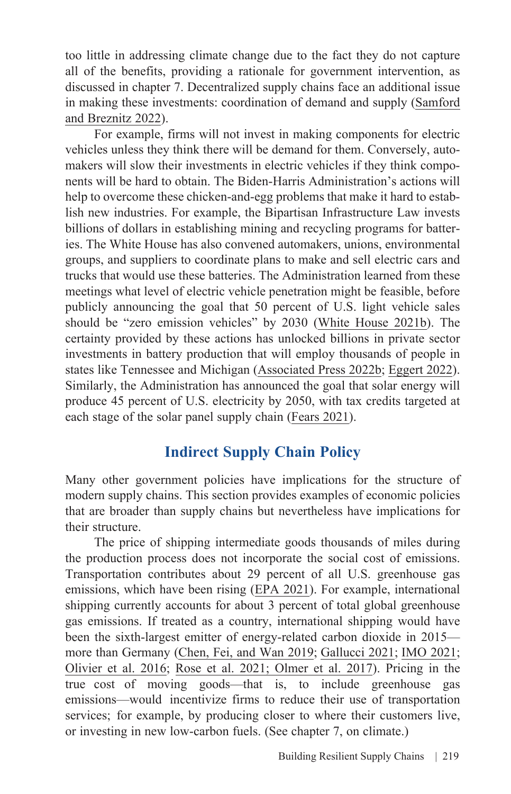too little in addressing climate change due to the fact they do not capture all of the benefits, providing a rationale for government intervention, as discussed in chapter 7. Decentralized supply chains face an additional issue in making these investments: coordination of demand and supply ([Samford](https://academic.oup.com/sf/article-abstract/100/3/1333/6232576?redirectedFrom=fulltext)  [and Breznitz 2022](https://academic.oup.com/sf/article-abstract/100/3/1333/6232576?redirectedFrom=fulltext)).

For example, firms will not invest in making components for electric vehicles unless they think there will be demand for them. Conversely, automakers will slow their investments in electric vehicles if they think components will be hard to obtain. The Biden-Harris Administration's actions will help to overcome these chicken-and-egg problems that make it hard to establish new industries. For example, the Bipartisan Infrastructure Law invests billions of dollars in establishing mining and recycling programs for batteries. The White House has also convened automakers, unions, environmental groups, and suppliers to coordinate plans to make and sell electric cars and trucks that would use these batteries. The Administration learned from these meetings what level of electric vehicle penetration might be feasible, before publicly announcing the goal that 50 percent of U.S. light vehicle sales should be "zero emission vehicles" by 2030 [\(White House 2021b](https://www.whitehouse.gov/briefing-room/statements-releases/2021/08/05/fact-sheet-president-biden-announces-steps-to-drive-american-leadership-forward-on-clean-cars-and-trucks/)). The certainty provided by these actions has unlocked billions in private sector investments in battery production that will employ thousands of people in states like Tennessee and Michigan [\(Associated Press 2022b;](https://www.marketwatch.com/story/ford-battery-maker-face-job-requirement-for-tennessee-plant-01645145360) [Eggert 2022\)](https://www.usnews.com/news/best-states/michigan/articles/2022-03-09/michigan-lawmakers-finalize-666m-transfer-for-gm-projects). Similarly, the Administration has announced the goal that solar energy will produce 45 percent of U.S. electricity by 2050, with tax credits targeted at each stage of the solar panel supply chain [\(Fears 2021\)](https://www.washingtonpost.com/climate-environment/2021/09/08/biden-solar-climate-change/).

# **Indirect Supply Chain Policy**

Many other government policies have implications for the structure of modern supply chains. This section provides examples of economic policies that are broader than supply chains but nevertheless have implications for their structure.

The price of shipping intermediate goods thousands of miles during the production process does not incorporate the social cost of emissions. Transportation contributes about 29 percent of all U.S. greenhouse gas emissions, which have been rising ([EPA 2021](https://www.epa.gov/transportation-air-pollution-and-climate-change/carbon-pollution-transportation)). For example, international shipping currently accounts for about 3 percent of total global greenhouse gas emissions. If treated as a country, international shipping would have been the sixth-largest emitter of energy-related carbon dioxide in 2015 more than Germany ([Chen, Fei, and Wan 2019;](https://www.sciencedirect.com/science/article/pii/S0301479719304499) [Gallucci 2021;](https://grist.org/climate/the-true-cost-of-shipping-junk-across-ocean-walmart-target/) [IMO 2021](https://wwwcdn.imo.org/localresources/en/OurWork/Environment/Documents/Fourth%20IMO%20GHG%20Study%202020%20-%20Full%20report%20and%20annexes.pdf); [Olivier et al. 2016;](https://www.pbl.nl/en/publications/trends-in-global-co2-emissions-2016-report) [Rose et al. 2021](https://www.pacificenvironment.org/wp-content/uploads/2021/07/SIZ_Shady-Ships-Report.pdf); [Olmer et al. 2017\)](https://theicct.org/sites/default/files/publications/Global-shipping-GHG-emissions-2013-2015_ICCT-Report_17102017_vF.pdf). Pricing in the true cost of moving goods—that is, to include greenhouse gas emissions—would incentivize firms to reduce their use of transportation services; for example, by producing closer to where their customers live, or investing in new low-carbon fuels. (See chapter 7, on climate.)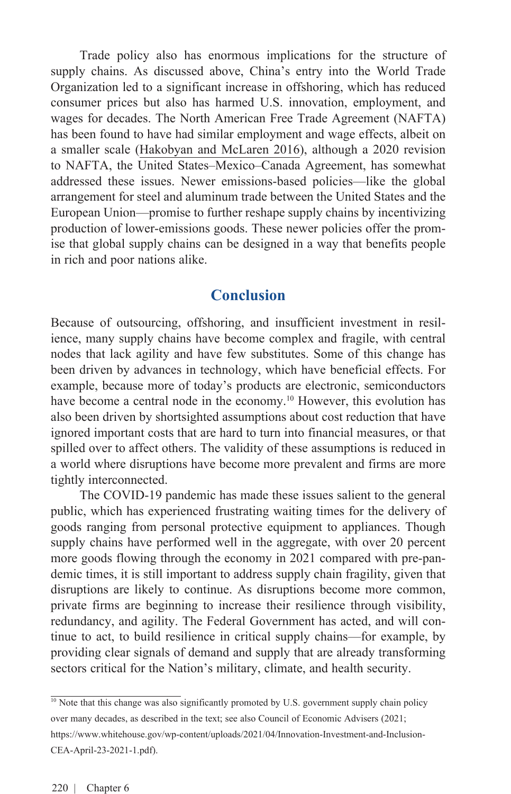Trade policy also has enormous implications for the structure of supply chains. As discussed above, China's entry into the World Trade Organization led to a significant increase in offshoring, which has reduced consumer prices but also has harmed U.S. innovation, employment, and wages for decades. The North American Free Trade Agreement (NAFTA) has been found to have had similar employment and wage effects, albeit on a smaller scale ([Hakobyan and McLaren 2016](https://ideas.repec.org/a/tpr/restat/v98y2016i4p728-741.html)), although a 2020 revision to NAFTA, the United States–Mexico–Canada Agreement, has somewhat addressed these issues. Newer emissions-based policies—like the global arrangement for steel and aluminum trade between the United States and the European Union—promise to further reshape supply chains by incentivizing production of lower-emissions goods. These newer policies offer the promise that global supply chains can be designed in a way that benefits people in rich and poor nations alike.

## **Conclusion**

Because of outsourcing, offshoring, and insufficient investment in resilience, many supply chains have become complex and fragile, with central nodes that lack agility and have few substitutes. Some of this change has been driven by advances in technology, which have beneficial effects. For example, because more of today's products are electronic, semiconductors have become a central node in the economy.<sup>10</sup> However, this evolution has also been driven by shortsighted assumptions about cost reduction that have ignored important costs that are hard to turn into financial measures, or that spilled over to affect others. The validity of these assumptions is reduced in a world where disruptions have become more prevalent and firms are more tightly interconnected.

The COVID-19 pandemic has made these issues salient to the general public, which has experienced frustrating waiting times for the delivery of goods ranging from personal protective equipment to appliances. Though supply chains have performed well in the aggregate, with over 20 percent more goods flowing through the economy in 2021 compared with pre-pandemic times, it is still important to address supply chain fragility, given that disruptions are likely to continue. As disruptions become more common, private firms are beginning to increase their resilience through visibility, redundancy, and agility. The Federal Government has acted, and will continue to act, to build resilience in critical supply chains—for example, by providing clear signals of demand and supply that are already transforming sectors critical for the Nation's military, climate, and health security.

 $\frac{10}{10}$  Note that this change was also significantly promoted by U.S. government supply chain policy over many decades, as described in the text; see also Council of Economic Advisers (2021; [https://www.whitehouse.gov/wp-content/uploads/2021/04/Innovation-Investment-and-Inclusion-](https://www.whitehouse.gov/wp-content/uploads/2021/04/Innovation-Investment-and-Inclusion-CEA-April-23-2021-1.pdf)CEA-April-23-2021-1.pdf).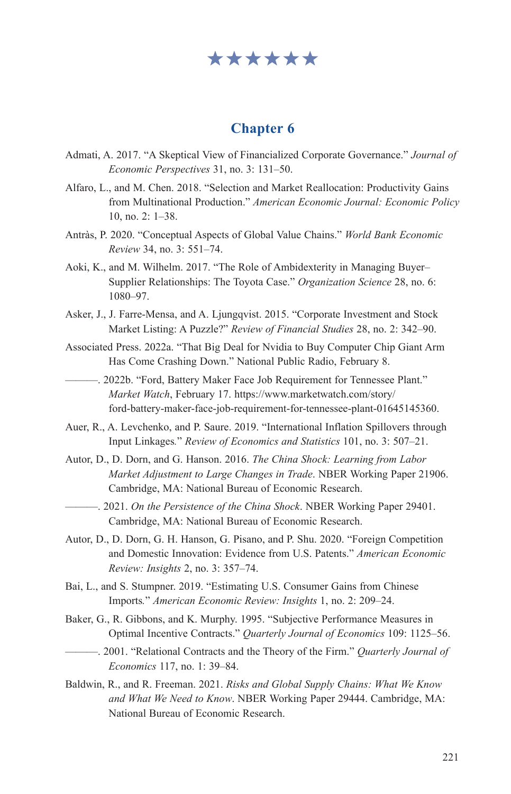# \*\*\*\*\*\*

#### **Chapter 6**

- Admati, A. 2017. "A Skeptical View of Financialized Corporate Governance." *Journal of Economic Perspectives* 31, no. 3: 131–50.
- Alfaro, L., and M. Chen. 2018. "Selection and Market Reallocation: Productivity Gains from Multinational Production." *American Economic Journal: Economic Policy* 10, no. 2: 1–38.
- Antràs, P. 2020. "Conceptual Aspects of Global Value Chains." *World Bank Economic Review* 34, no. 3: 551–74.
- Aoki, K., and M. Wilhelm. 2017. "The Role of Ambidexterity in Managing Buyer– Supplier Relationships: The Toyota Case." *Organization Science* 28, no. 6: 1080–97.
- Asker, J., J. Farre-Mensa, and A. Ljungqvist. 2015. "Corporate Investment and Stock Market Listing: A Puzzle?" *Review of Financial Studies* 28, no. 2: 342–90.
- Associated Press. 2022a. "That Big Deal for Nvidia to Buy Computer Chip Giant Arm Has Come Crashing Down." National Public Radio, February 8.
- ———. 2022b. "Ford, Battery Maker Face Job Requirement for Tennessee Plant." *Market Watch*, February 17. [https://www.marketwatch.com/story/](https://www.marketwatch.com/story/ford-battery-maker-face-job-requirement-for-tennessee-plant-01645145360) [ford-battery-maker-face-job-requirement-for-tennessee-plant-01645145360.](https://www.marketwatch.com/story/ford-battery-maker-face-job-requirement-for-tennessee-plant-01645145360)
- Auer, R., A. Levchenko, and P. Saure. 2019. "International Inflation Spillovers through Input Linkages*.*" *Review of Economics and Statistics* 101, no. 3: 507–21.
- Autor, D., D. Dorn, and G. Hanson. 2016. *The China Shock: Learning from Labor Market Adjustment to Large Changes in Trade*. NBER Working Paper 21906. Cambridge, MA: National Bureau of Economic Research.
	- ———. 2021. *On the Persistence of the China Shock*. NBER Working Paper 29401. Cambridge, MA: National Bureau of Economic Research.
- Autor, D., D. Dorn, G. H. Hanson, G. Pisano, and P. Shu. 2020. "Foreign Competition and Domestic Innovation: Evidence from U.S. Patents." *American Economic Review: Insights* 2, no. 3: 357–74.
- Bai, L., and S. Stumpner. 2019. "Estimating U.S. Consumer Gains from Chinese Imports*.*" *American Economic Review: Insights* 1, no. 2: [209–24.](https://www.aeaweb.org/issues/561)
- Baker, G., R. Gibbons, and K. Murphy. 1995. "Subjective Performance Measures in Optimal Incentive Contracts." *Quarterly Journal of Economics* 109: 1125–56.
- ———. 2001. "Relational Contracts and the Theory of the Firm." *Quarterly Journal of Economics* 117, no. 1: 39–84.
- Baldwin, R., and R. Freeman. 2021. *Risks and Global Supply Chains: What We Know and What We Need to Know*. NBER Working Paper 29444. Cambridge, MA: National Bureau of Economic Research.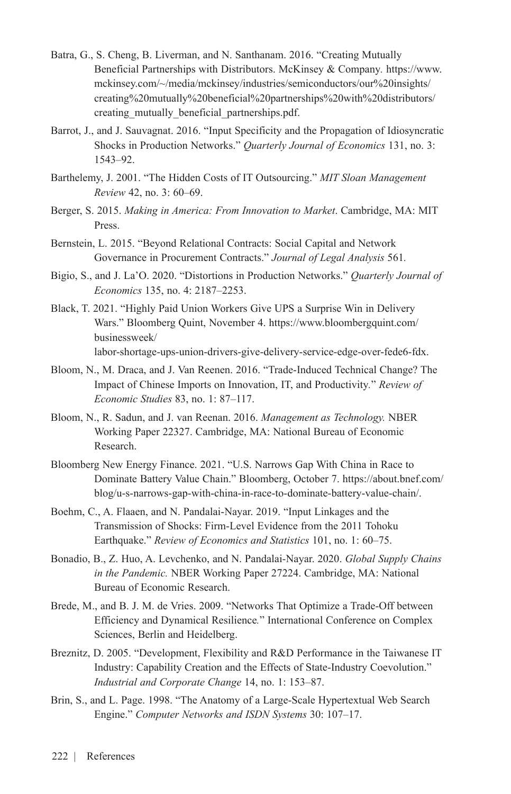- Batra, G., S. Cheng, B. Liverman, and N. Santhanam. 2016. "Creating Mutually Beneficial Partnerships with Distributors. McKinsey & Company*.* [https://www.](https://www.mckinsey.com/~/media/mckinsey/industries/semiconductors/our%20insights/creating%20mutually%20beneficial%20partnerships%20with%20distributors/creating_mutually_beneficial_partnerships.pdf) [mckinsey.com/~/media/mckinsey/industries/semiconductors/our%20insights/](https://www.mckinsey.com/~/media/mckinsey/industries/semiconductors/our%20insights/creating%20mutually%20beneficial%20partnerships%20with%20distributors/creating_mutually_beneficial_partnerships.pdf) [creating%20mutually%20beneficial%20partnerships%20with%20distributors/](https://www.mckinsey.com/~/media/mckinsey/industries/semiconductors/our%20insights/creating%20mutually%20beneficial%20partnerships%20with%20distributors/creating_mutually_beneficial_partnerships.pdf) [creating\\_mutually\\_beneficial\\_partnerships.pdf](https://www.mckinsey.com/~/media/mckinsey/industries/semiconductors/our%20insights/creating%20mutually%20beneficial%20partnerships%20with%20distributors/creating_mutually_beneficial_partnerships.pdf).
- Barrot, J., and J. Sauvagnat. 2016. "Input Specificity and the Propagation of Idiosyncratic Shocks in Production Networks." *Quarterly Journal of Economics* 131, no. 3: 1543–92.
- Barthelemy, J. 2001. "The Hidden Costs of IT Outsourcing." *MIT Sloan Management Review* 42, no. 3: 60–69.
- Berger, S. 2015. *Making in America: From Innovation to Market*. Cambridge, MA: MIT Press.
- Bernstein, L. 2015. "Beyond Relational Contracts: Social Capital and Network Governance in Procurement Contracts." *Journal of Legal Analysis* 561*.*
- Bigio, S., and J. La'O. 2020. "Distortions in Production Networks." *Quarterly Journal of Economics* 135, no. 4: 2187–2253.
- Black, T. 2021. "Highly Paid Union Workers Give UPS a Surprise Win in Delivery Wars." Bloomberg Quint, November 4. [https://www.bloombergquint.com/](https://www.bloombergquint.com/businessweek/labor-shortage-ups-union-drivers-give-delivery-service-edge-over-fede6-fdx) [businessweek/](https://www.bloombergquint.com/businessweek/labor-shortage-ups-union-drivers-give-delivery-service-edge-over-fede6-fdx) [labor-shortage-ups-union-drivers-give-delivery-service-edge-over-fede6-fdx](https://www.bloombergquint.com/businessweek/labor-shortage-ups-union-drivers-give-delivery-service-edge-over-fede6-fdx).
- Bloom, N., M. Draca, and J. Van Reenen. 2016. "Trade-Induced Technical Change? The Impact of Chinese Imports on Innovation, IT, and Productivity*.*" *Review of Economic Studies* 83, no. 1: 87–117.
- Bloom, N., R. Sadun, and J. van Reenan. 2016. *Management as Technology.* NBER Working Paper 22327. Cambridge, MA: National Bureau of Economic Research.
- Bloomberg New Energy Finance. 2021. "U.S. Narrows Gap With China in Race to Dominate Battery Value Chain." Bloomberg, October 7. [https://about.bnef.com/](https://about.bnef.com/blog/u-s-narrows-gap-with-china-in-race-to-dominate-battery-value-chain/) [blog/u-s-narrows-gap-with-china-in-race-to-dominate-battery-value-chain/.](https://about.bnef.com/blog/u-s-narrows-gap-with-china-in-race-to-dominate-battery-value-chain/)
- Boehm, C., A. Flaaen, and N. Pandalai-Nayar. 2019. "Input Linkages and the Transmission of Shocks: Firm-Level Evidence from the 2011 Tohoku Earthquake." *Review of Economics and Statistics* 101, no. 1: 60–75.
- Bonadio, B., Z. Huo, A. Levchenko, and N. Pandalai-Nayar. 2020. *Global Supply Chains in the Pandemic.* NBER Working Paper 27224. Cambridge, MA: National Bureau of Economic Research.
- Brede, M., and B. J. M. de Vries. 2009. "Networks That Optimize a Trade-Off between Efficiency and Dynamical Resilience*.*" International Conference on Complex Sciences, Berlin and Heidelberg.
- Breznitz, D. 2005. "Development, Flexibility and R&D Performance in the Taiwanese IT Industry: Capability Creation and the Effects of State-Industry Coevolution." *Industrial and Corporate Change* 14, no. 1: 153–87.
- Brin, S., and L. Page. 1998. "The Anatomy of a Large-Scale Hypertextual Web Search Engine." *Computer Networks and ISDN Systems* 30: 107–17.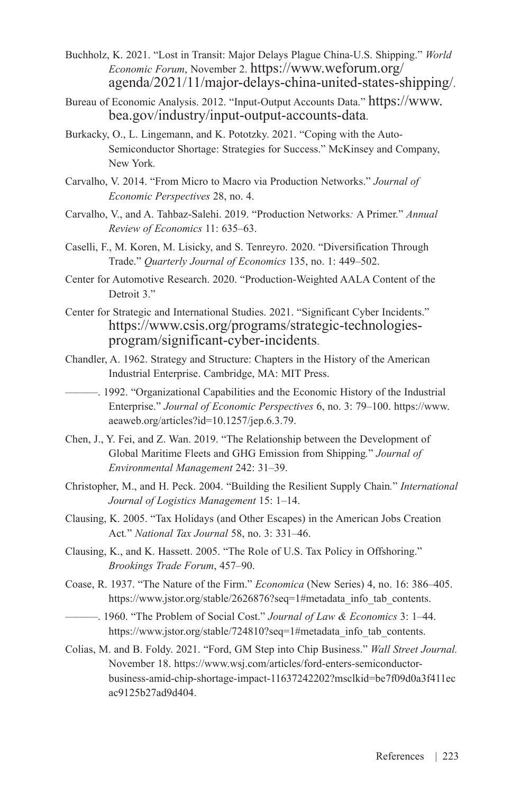- Buchholz, K. 2021. "Lost in Transit: Major Delays Plague China-U.S. Shipping." *World Economic Forum*, November 2. [https://www.weforum.org/](https://www.weforum.org/agenda/2021/11/major-delays-china-united-states-shipping/) [agenda/2021/11/major-delays-china-united-states-shipping/](https://www.weforum.org/agenda/2021/11/major-delays-china-united-states-shipping/).
- Bureau of Economic Analysis. 2012. "Input-Output Accounts Data." [https://www.](https://www.bea.gov/industry/input-output-accounts-data) [bea.gov/industry/input-output-accounts-data.](https://www.bea.gov/industry/input-output-accounts-data)
- Burkacky, O., L. Lingemann, and K. Pototzky. 2021. "Coping with the Auto-Semiconductor Shortage: Strategies for Success." McKinsey and Company, New York*.*
- Carvalho, V. 2014. "From Micro to Macro via Production Networks." *Journal of Economic Perspectives* 28, no. 4.
- Carvalho, V., and A. Tahbaz-Salehi. 2019. "Production Networks*:* A Primer." *Annual Review of Economics* 11: 635–63.
- Caselli, F., M. Koren, M. Lisicky, and S. Tenreyro. 2020. "Diversification Through Trade." *Quarterly Journal of Economics* 135, no. 1: 449–502.
- Center for Automotive Research. 2020. "Production-Weighted AALA Content of the Detroit 3."
- Center for Strategic and International Studies. 2021. "Significant Cyber Incidents." [https://www.csis.org/programs/strategic-technologies](https://www.csis.org/programs/strategic-technologies-program/significant-cyber-incidents)[program/significant-cyber-incidents](https://www.csis.org/programs/strategic-technologies-program/significant-cyber-incidents).
- Chandler, A. 1962. Strategy and Structure: Chapters in the History of the American Industrial Enterprise. Cambridge, MA: MIT Press.

———. 1992. "Organizational Capabilities and the Economic History of the Industrial Enterprise." *Journal of Economic Perspectives* 6, no. 3: 79–100. [https://www.](https://www.aeaweb.org/articles?id=10.1257/jep.6.3.79) [aeaweb.org/articles?id=10.1257/jep.6.3.79](https://www.aeaweb.org/articles?id=10.1257/jep.6.3.79).

- Chen, J., Y. Fei, and Z. Wan. 2019. "The Relationship between the Development of Global Maritime Fleets and GHG Emission from Shipping*.*" *Journal of Environmental Management* 242: 31–39.
- Christopher, M., and H. Peck. 2004. "Building the Resilient Supply Chain*.*" *International Journal of Logistics Management* 15: 1–14.
- Clausing, K. 2005. "Tax Holidays (and Other Escapes) in the American Jobs Creation Act*.*" *National Tax Journal* 58, no. 3: 331–46.
- Clausing, K., and K. Hassett. 2005. "The Role of U.S. Tax Policy in Offshoring." *Brookings Trade Forum*, 457–90.
- Coase, R. 1937. "The Nature of the Firm." *Economica* (New Series) 4, no. 16: 386–405. [https://www.jstor.org/stable/2626876?seq=1#metadata\\_info\\_tab\\_contents.](https://www.jstor.org/stable/2626876?seq=1%23metadata_info_tab_contents)

———. 1960. "The Problem of Social Cost." *Journal of Law & Economics* 3: 1–44. https://www.jstor.org/stable/724810?seq=1#metadata\_info\_tab\_contents.

Colias, M. and B. Foldy. 2021. "Ford, GM Step into Chip Business." *Wall Street Journal.* November 18. https://www.wsj.com/articles/ford-enters-semiconductorbusiness-amid-chip-shortage-impact-11637242202?msclkid=be7f09d0a3f411ec ac9125b27ad9d404.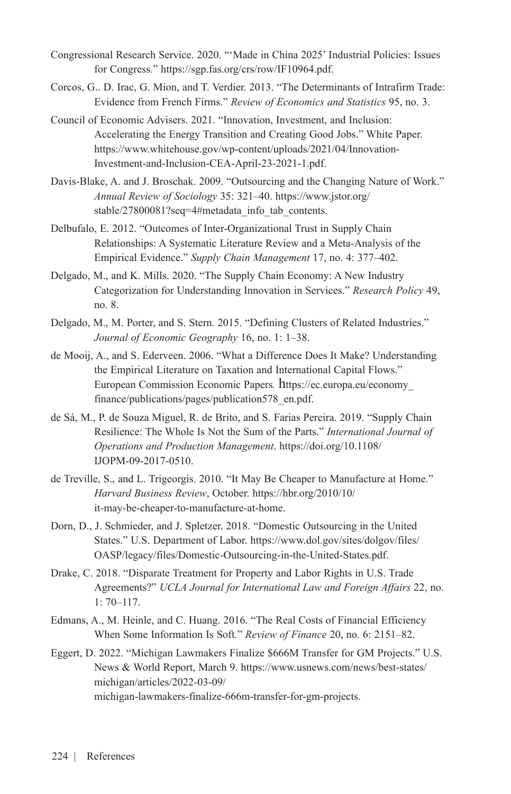- Congressional Research Service. 2020. "'Made in China 2025' Industrial Policies: Issues for Congress." <https://sgp.fas.org/crs/row/IF10964.pdf>.
- Corcos, G.. D. Irac, G. Mion, and T. Verdier. 2013. "The Determinants of Intrafirm Trade: Evidence from French Firms." *Review of Economics and Statistics* 95, no. 3.
- Council of Economic Advisers. 2021. "Innovation, Investment, and Inclusion: Accelerating the Energy Transition and Creating Good Jobs." White Paper. [https://www.whitehouse.gov/wp-content/uploads/2021/04/Innovation-](https://www.whitehouse.gov/wp-content/uploads/2021/04/Innovation-Investment-and-Inclusion-CEA-April-23-2021-1.pdf)[Investment-and-Inclusion-CEA-April-23-2021-1.pdf](https://www.whitehouse.gov/wp-content/uploads/2021/04/Innovation-Investment-and-Inclusion-CEA-April-23-2021-1.pdf).
- Davis-Blake, A. and J. Broschak. 2009. "Outsourcing and the Changing Nature of Work." *Annual Review of Sociology* 35: 321–40. [https://www.jstor.org/](https://www.jstor.org/stable/27800081?seq=4%23metadata_info_tab_contents) [stable/27800081?seq=4#metadata\\_info\\_tab\\_contents](https://www.jstor.org/stable/27800081?seq=4%23metadata_info_tab_contents).
- Delbufalo, E. 2012. "Outcomes of Inter-Organizational Trust in Supply Chain Relationships: A Systematic Literature Review and a Meta-Analysis of the Empirical Evidence." *Supply Chain Management* 17, no. 4: 377–402.
- Delgado, M., and K. Mills. 2020. "The Supply Chain Economy: A New Industry Categorization for Understanding Innovation in Services." *Research Policy* 49, no. 8.
- Delgado, M., M. Porter, and S. Stern. 2015. "Defining Clusters of Related Industries." *Journal of Economic Geography* 16, no. 1: 1–38.
- de Mooij, A., and S. Ederveen. 2006. "What a Difference Does It Make? Understanding the Empirical Literature on Taxation and International Capital Flows." European Commission Economic Papers*.* [https://ec.europa.eu/economy\\_](https://ec.europa.eu/economy_finance/publications/pages/publication578_en.pdf) [finance/publications/pages/publication578\\_en.pdf.](https://ec.europa.eu/economy_finance/publications/pages/publication578_en.pdf)
- de Sá, M., P. de Souza Miguel, R. de Brito, and S. Farias Pereira. 2019. "Supply Chain Resilience: The Whole Is Not the Sum of the Parts." *International Journal of Operations and Production Management*. [https://doi.org/10.1108/](https://doi.org/10.1108/IJOPM-09-2017-0510) [IJOPM-09-2017-0510.](https://doi.org/10.1108/IJOPM-09-2017-0510)
- de Treville, S., and L. Trigeorgis. 2010. "It May Be Cheaper to Manufacture at Home." *Harvard Business Review*, October. [https://hbr.org/2010/10/](https://hbr.org/2010/10/it-may-be-cheaper-to-manufacture-at-home) [it-may-be-cheaper-to-manufacture-at-home](https://hbr.org/2010/10/it-may-be-cheaper-to-manufacture-at-home).
- Dorn, D., J. Schmieder, and J. Spletzer. 2018. "Domestic Outsourcing in the United States." U.S. Department of Labor. [https://www.dol.gov/sites/dolgov/files/](https://www.dol.gov/sites/dolgov/files/OASP/legacy/files/Domestic-Outsourcing-in-the-United-States.pdf) [OASP/legacy/files/Domestic-Outsourcing-in-the-United-States.pdf.](https://www.dol.gov/sites/dolgov/files/OASP/legacy/files/Domestic-Outsourcing-in-the-United-States.pdf)
- Drake, C. 2018. "Disparate Treatment for Property and Labor Rights in U.S. Trade Agreements?" *UCLA Journal for International Law and Foreign Affairs* 22, no. 1: 70–117.
- Edmans, A., M. Heinle, and C. Huang. 2016. "The Real Costs of Financial Efficiency When Some Information Is Soft*.*" *Review of Finance* 20, no. 6: 2151–82.
- Eggert, D. 2022. "Michigan Lawmakers Finalize \$666M Transfer for GM Projects." U.S. News & World Report, March 9. [https://www.usnews.com/news/best-states/](https://www.usnews.com/news/best-states/michigan/articles/2022-03-09/michigan-lawmakers-finalize-666m-transfer-for-gm-projects) [michigan/articles/2022-03-09/](https://www.usnews.com/news/best-states/michigan/articles/2022-03-09/michigan-lawmakers-finalize-666m-transfer-for-gm-projects) [michigan-lawmakers-finalize-666m-transfer-for-gm-projects.](https://www.usnews.com/news/best-states/michigan/articles/2022-03-09/michigan-lawmakers-finalize-666m-transfer-for-gm-projects)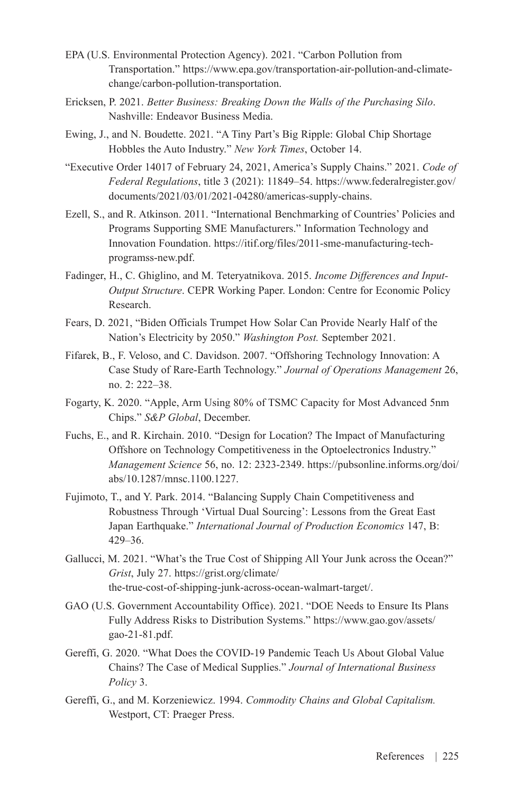- EPA (U.S. Environmental Protection Agency). 2021. "Carbon Pollution from Transportation." [https://www.epa.gov/transportation-air-pollution-and-climate](https://www.epa.gov/transportation-air-pollution-and-climate-change/carbon-pollution-transportation)[change/carbon-pollution-transportation.](https://www.epa.gov/transportation-air-pollution-and-climate-change/carbon-pollution-transportation)
- Ericksen, P. 2021. *Better Business: Breaking Down the Walls of the Purchasing Silo*. Nashville: Endeavor Business Media.
- Ewing, J., and N. Boudette. 2021. "A Tiny Part's Big Ripple: Global Chip Shortage Hobbles the Auto Industry." *New York Times*, October 14.
- "Executive Order 14017 of February 24, 2021, America's Supply Chains." 2021. *Code of Federal Regulations*, title 3 (2021): 11849–54. [https://www.federalregister.gov/](https://www.federalregister.gov/documents/2021/03/01/2021-04280/americas-supply-chains) [documents/2021/03/01/2021-04280/americas-supply-chains.](https://www.federalregister.gov/documents/2021/03/01/2021-04280/americas-supply-chains)
- Ezell, S., and R. Atkinson. 2011. "International Benchmarking of Countries' Policies and Programs Supporting SME Manufacturers." Information Technology and Innovation Foundation. [https://itif.org/files/2011-sme-manufacturing-tech](https://itif.org/files/2011-sme-manufacturing-tech-programss-new.pdf)[programss-new.pdf](https://itif.org/files/2011-sme-manufacturing-tech-programss-new.pdf).
- Fadinger, H., C. Ghiglino, and M. Teteryatnikova. 2015. *Income Differences and Input-Output Structure*. CEPR Working Paper. London: Centre for Economic Policy Research.
- Fears, D. 2021, "Biden Officials Trumpet How Solar Can Provide Nearly Half of the Nation's Electricity by 2050." *Washington Post.* September 2021.
- Fifarek, B., F. Veloso, and C. Davidson. 2007. "Offshoring Technology Innovation: A Case Study of Rare-Earth Technology." *Journal of Operations Management* 26, no. 2: 222–38.
- Fogarty, K. 2020. "Apple, Arm Using 80% of TSMC Capacity for Most Advanced 5nm Chips." *S&P Global*, December.
- Fuchs, E., and R. Kirchain. 2010. "Design for Location? The Impact of Manufacturing Offshore on Technology Competitiveness in the Optoelectronics Industry." *Management Science* 56, no. 12: 2323-2349. https://pubsonline.informs.org/doi/ abs/10.1287/mnsc.1100.1227.
- Fujimoto, T., and Y. Park. 2014. "Balancing Supply Chain Competitiveness and Robustness Through 'Virtual Dual Sourcing': Lessons from the Great East Japan Earthquake." *International Journal of Production Economics* 147, B: 429–36.
- Gallucci, M. 2021. "What's the True Cost of Shipping All Your Junk across the Ocean?" *Grist*, July 27. [https://grist.org/climate/](https://grist.org/climate/the-true-cost-of-shipping-junk-across-ocean-walmart-target/.) [the-true-cost-of-shipping-junk-across-ocean-walmart-target/.](https://grist.org/climate/the-true-cost-of-shipping-junk-across-ocean-walmart-target/.)
- GAO (U.S. Government Accountability Office). 2021. "DOE Needs to Ensure Its Plans Fully Address Risks to Distribution Systems." [https://www.gao.gov/assets/](https://www.gao.gov/assets/gao-21-81.pdf) [gao-21-81.pdf](https://www.gao.gov/assets/gao-21-81.pdf).
- Gereffi, G. 2020. "What Does the COVID-19 Pandemic Teach Us About Global Value Chains? The Case of Medical Supplies." *Journal of International Business Policy* 3.
- Gereffi, G., and M. Korzeniewicz. 1994. *Commodity Chains and Global Capitalism.*  Westport, CT: Praeger Press.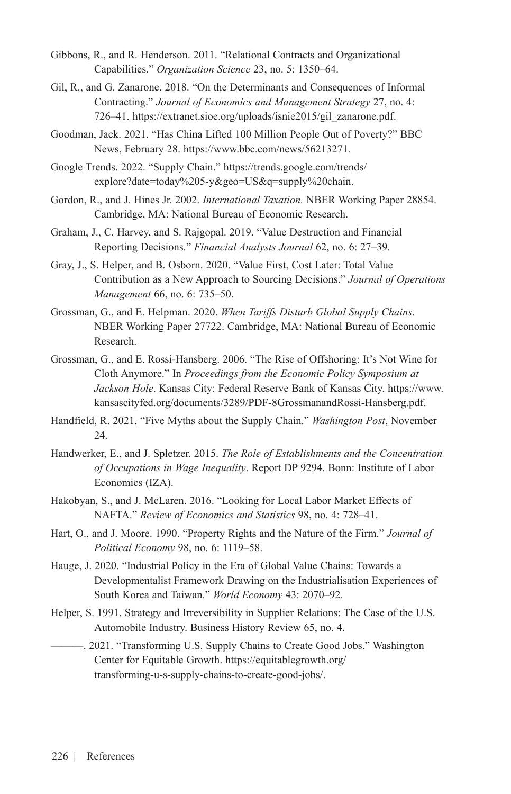- Gibbons, R., and R. Henderson. 2011. "Relational Contracts and Organizational Capabilities." *Organization Science* 23, no. 5: 1350–64.
- Gil, R., and G. Zanarone. 2018. "On the Determinants and Consequences of Informal Contracting." *Journal of Economics and Management Strategy* 27, no. 4: 726–41. [https://extranet.sioe.org/uploads/isnie2015/gil\\_zanarone.pdf.](https://extranet.sioe.org/uploads/isnie2015/gil_zanarone.pdf)
- Goodman, Jack. 2021. "Has China Lifted 100 Million People Out of Poverty?" BBC News, February 28. <https://www.bbc.com/news/56213271>.
- Google Trends. 2022. "Supply Chain." [https://trends.google.com/trends/](https://trends.google.com/trends/explore?date=today%205-y&geo=US&q=supply%20chain) [explore?date=today%205-y&geo=US&q=supply%20chain.](https://trends.google.com/trends/explore?date=today%205-y&geo=US&q=supply%20chain)
- Gordon, R., and J. Hines Jr. 2002. *International Taxation.* NBER Working Paper 28854. Cambridge, MA: National Bureau of Economic Research.
- Graham, J., C. Harvey, and S. Rajgopal. 2019. "Value Destruction and Financial Reporting Decisions*.*" *Financial Analysts Journal* 62, no. 6: 27–39.
- Gray, J., S. Helper, and B. Osborn. 2020. "Value First, Cost Later: Total Value Contribution as a New Approach to Sourcing Decisions." *Journal of Operations Management* 66, no. 6: 735–50.
- Grossman, G., and E. Helpman. 2020. *When Tariffs Disturb Global Supply Chains*. NBER Working Paper 27722. Cambridge, MA: National Bureau of Economic Research.
- Grossman, G., and E. Rossi-Hansberg. 2006. "The Rise of Offshoring: It's Not Wine for Cloth Anymore." In *Proceedings from the Economic Policy Symposium at Jackson Hole*. Kansas City: Federal Reserve Bank of Kansas City. [https://www.](https://www.kansascityfed.org/documents/3289/PDF-8GrossmanandRossi-Hansberg.pdf) [kansascityfed.org/documents/3289/PDF-8GrossmanandRossi-Hansberg.pdf.](https://www.kansascityfed.org/documents/3289/PDF-8GrossmanandRossi-Hansberg.pdf)
- Handfield, R. 2021. "Five Myths about the Supply Chain." *Washington Post*, November  $24.$
- Handwerker, E., and J. Spletzer. 2015. *The Role of Establishments and the Concentration of Occupations in Wage Inequality*. Report DP 9294. Bonn: Institute of Labor Economics (IZA).
- Hakobyan, S., and J. McLaren. 2016. "Looking for Local Labor Market Effects of NAFTA." *Review of Economics and Statistics* 98, no. 4: 728–41.
- Hart, O., and J. Moore. 1990. "Property Rights and the Nature of the Firm." *Journal of Political Economy* 98, no. 6: 1119–58.
- Hauge, J. 2020. "Industrial Policy in the Era of Global Value Chains: Towards a Developmentalist Framework Drawing on the Industrialisation Experiences of South Korea and Taiwan." *World Economy* 43: 2070–92.
- Helper, S. 1991. Strategy and Irreversibility in Supplier Relations: The Case of the U.S. Automobile Industry. Business History Review 65, no. 4.

———. 2021. "Transforming U.S. Supply Chains to Create Good Jobs." Washington Center for Equitable Growth. [https://equitablegrowth.org/](https://equitablegrowth.org/transforming-u-s-supply-chains-to-create-good-jobs/) [transforming-u-s-supply-chains-to-create-good-jobs/](https://equitablegrowth.org/transforming-u-s-supply-chains-to-create-good-jobs/).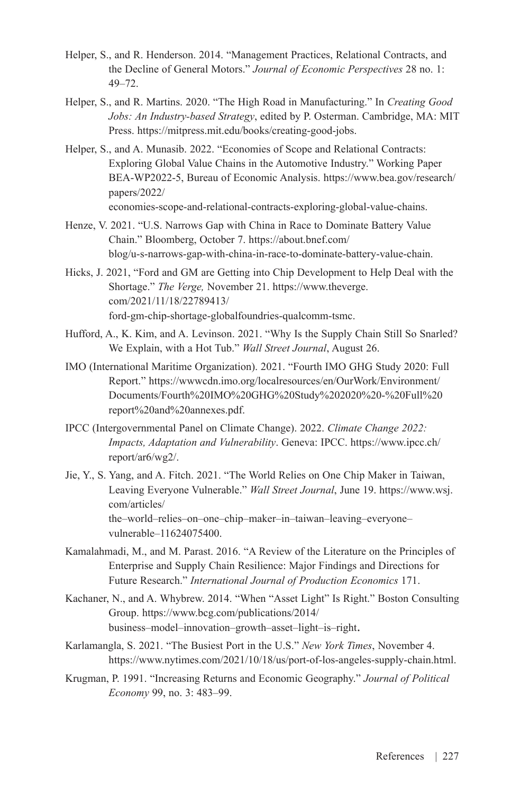- Helper, S., and R. Henderson. 2014. "Management Practices, Relational Contracts, and the Decline of General Motors." *Journal of Economic Perspectives* 28 no. 1: 49–72.
- Helper, S., and R. Martins. 2020. "The High Road in Manufacturing." In *Creating Good Jobs: An Industry-based Strategy*, edited by P. Osterman. Cambridge, MA: MIT Press. <https://mitpress.mit.edu/books/creating-good-jobs>.
- Helper, S., and A. Munasib. 2022. "Economies of Scope and Relational Contracts: Exploring Global Value Chains in the Automotive Industry." Working Paper BEA-WP2022-5, Bureau of Economic Analysis. [https://www.bea.gov/research/](https://www.bea.gov/research/papers/2022/economies-scope-and-relational-contracts-exploring-global-value-chains) [papers/2022/](https://www.bea.gov/research/papers/2022/economies-scope-and-relational-contracts-exploring-global-value-chains) [economies-scope-and-relational-contracts-exploring-global-value-chains.](https://www.bea.gov/research/papers/2022/economies-scope-and-relational-contracts-exploring-global-value-chains)
- Henze, V. 2021. "U.S. Narrows Gap with China in Race to Dominate Battery Value Chain." Bloomberg, October 7. [https://about.bnef.com/](https://about.bnef.com/blog/u-s-narrows-gap-with-china-in-race-to-dominate-battery-value-chain) [blog/u-s-narrows-gap-with-china-in-race-to-dominate-battery-value-chain](https://about.bnef.com/blog/u-s-narrows-gap-with-china-in-race-to-dominate-battery-value-chain).
- Hicks, J. 2021, "Ford and GM are Getting into Chip Development to Help Deal with the Shortage." *The Verge,* November 21. https://www.theverge. com/2021/11/18/22789413/ ford-gm-chip-shortage-globalfoundries-qualcomm-tsmc.
- Hufford, A., K. Kim, and A. Levinson. 2021. "Why Is the Supply Chain Still So Snarled? We Explain, with a Hot Tub." *Wall Street Journal*, August 26.
- IMO (International Maritime Organization). 2021. "Fourth IMO GHG Study 2020: Full Report." [https://wwwcdn.imo.org/localresources/en/OurWork/Environment/](https://wwwcdn.imo.org/localresources/en/OurWork/Environment/Documents/Fourth%20IMO%20GHG%20Study%202020%20-%20Full%20report%20and%20annexes.pdf) [Documents/Fourth%20IMO%20GHG%20Study%202020%20-%20Full%20](https://wwwcdn.imo.org/localresources/en/OurWork/Environment/Documents/Fourth%20IMO%20GHG%20Study%202020%20-%20Full%20report%20and%20annexes.pdf) [report%20and%20annexes.pdf.](https://wwwcdn.imo.org/localresources/en/OurWork/Environment/Documents/Fourth%20IMO%20GHG%20Study%202020%20-%20Full%20report%20and%20annexes.pdf)
- IPCC (Intergovernmental Panel on Climate Change). [2022](https://www.ipcc.ch/report/ar6/wg2/). *Climate Change 2022: Impacts, Adaptation and Vulnerability*. Geneva: IPCC. [https://www.ipcc.ch/](https://www.ipcc.ch/report/ar6/wg2/) [report/ar6/wg2/.](https://www.ipcc.ch/report/ar6/wg2/)
- Jie, Y., S. Yang, and A. Fitch. 2021. "The World Relies on One Chip Maker in Taiwan, Leaving Everyone Vulnerable." *Wall Street Journal*, June 19. [https://www.wsj.](https://www.wsj.com/articles/the-world-relies-on-one-chip-maker-in-taiwan-leaving-everyone-vulnerable-11624075400) [com/articles/](https://www.wsj.com/articles/the-world-relies-on-one-chip-maker-in-taiwan-leaving-everyone-vulnerable-11624075400) [the–world–relies–on–one–chip–maker–in–taiwan–leaving–everyone–](https://www.wsj.com/articles/the-world-relies-on-one-chip-maker-in-taiwan-leaving-everyone-vulnerable-11624075400) [vulnerable–11624075400.](https://www.wsj.com/articles/the-world-relies-on-one-chip-maker-in-taiwan-leaving-everyone-vulnerable-11624075400)
- Kamalahmadi, M., and M. Parast. 2016. "A Review of the Literature on the Principles of Enterprise and Supply Chain Resilience: Major Findings and Directions for Future Research." *International Journal of Production Economics* 171.
- Kachaner, N., and A. Whybrew. 2014. "When "Asset Light" Is Right." Boston Consulting Group. [https://www.bcg.com/publications/2014/](https://www.bcg.com/publications/2014/business-model-innovation-growth-asset-light-is-right) [business–model–innovation–growth–asset–light–is–right](https://www.bcg.com/publications/2014/business-model-innovation-growth-asset-light-is-right).
- Karlamangla, S. 2021. "The Busiest Port in the U.S." *New York Times*, November 4. [https://www.nytimes.com/2021/10/18/us/port-of-los-angeles-supply-chain.html.](https://www.nytimes.com/2021/10/18/us/port-of-los-angeles-supply-chain.html)
- Krugman, P. 1991. "Increasing Returns and Economic Geography." *Journal of Political Economy* 99, no. 3: 483–99.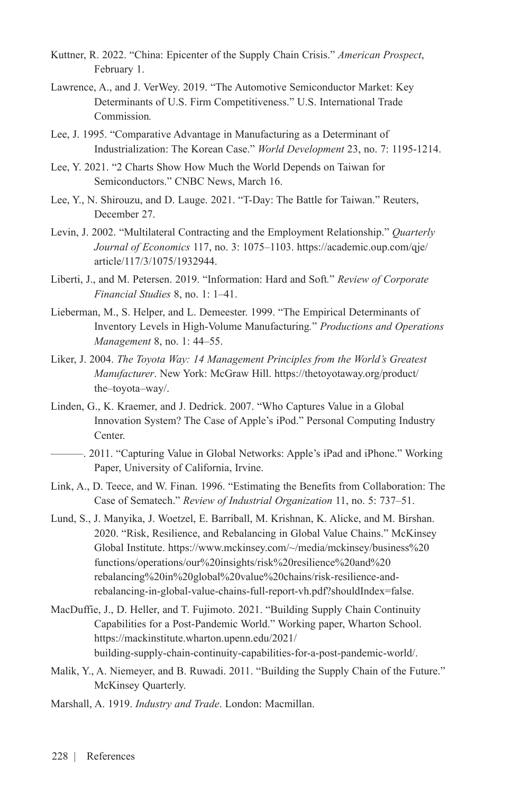- Kuttner, R. 2022. "China: Epicenter of the Supply Chain Crisis." *American Prospect*, February 1.
- Lawrence, A., and J. VerWey. 2019. "The Automotive Semiconductor Market: Key Determinants of U.S. Firm Competitiveness." U.S. International Trade Commission*.*
- Lee, J. 1995. "Comparative Advantage in Manufacturing as a Determinant of Industrialization: The Korean Case." *World Development* 23, no. 7: 1195-1214.
- Lee, Y. 2021. "2 Charts Show How Much the World Depends on Taiwan for Semiconductors." CNBC News, March 16.
- Lee, Y., N. Shirouzu, and D. Lauge. 2021. "T-Day: The Battle for Taiwan." Reuters, December 27.
- Levin, J. 2002. "Multilateral Contracting and the Employment Relationship." *Quarterly Journal of Economics* 117, no. 3: 1075–1103. [https://academic.oup.com/qje/](https://academic.oup.com/qje/article/117/3/1075/1932944) [article/117/3/1075/1932944.](https://academic.oup.com/qje/article/117/3/1075/1932944)
- Liberti, J., and M. Petersen. 2019. "Information: Hard and Soft*.*" *Review of Corporate Financial Studies* 8, no. 1: 1–41.
- Lieberman, M., S. Helper, and L. Demeester. 1999. "The Empirical Determinants of Inventory Levels in High-Volume Manufacturing*.*" *Productions and Operations Management* 8, no. 1: 44–55.
- Liker, J. 2004. *The Toyota Way: 14 Management Principles from the World's Greatest Manufacturer*. New York: McGraw Hill. [https://thetoyotaway.org/product/](https://thetoyotaway.org/product/the-toyota-way/) [the–toyota–way/.](https://thetoyotaway.org/product/the-toyota-way/)
- Linden, G., K. Kraemer, and J. Dedrick. 2007. "Who Captures Value in a Global Innovation System? The Case of Apple's iPod." Personal Computing Industry Center.
	- ———. 2011. "Capturing Value in Global Networks: Apple's iPad and iPhone." Working Paper, University of California, Irvine.
- Link, A., D. Teece, and W. Finan. 1996. "Estimating the Benefits from Collaboration: The Case of Sematech." *Review of Industrial Organization* 11, no. 5: 737–51.
- Lund, S., J. Manyika, J. Woetzel, E. Barriball, M. Krishnan, K. Alicke, and M. Birshan. 2020. "Risk, Resilience, and Rebalancing in Global Value Chains." McKinsey Global Institute. [https://www.mckinsey.com/~/media/mckinsey/business%20](https://www.mckinsey.com/~/media/mckinsey/business%20functions/operations/our%20insights/risk%20resilience%20and%20rebalancing%20in%20global%20value%20chains/risk-resilience-and-rebalancing-in-global-value-chains-full-report-vh.pdf?shouldIndex=false) [functions/operations/our%20insights/risk%20resilience%20and%20](https://www.mckinsey.com/~/media/mckinsey/business%20functions/operations/our%20insights/risk%20resilience%20and%20rebalancing%20in%20global%20value%20chains/risk-resilience-and-rebalancing-in-global-value-chains-full-report-vh.pdf?shouldIndex=false) [rebalancing%20in%20global%20value%20chains/risk-resilience-and](https://www.mckinsey.com/~/media/mckinsey/business%20functions/operations/our%20insights/risk%20resilience%20and%20rebalancing%20in%20global%20value%20chains/risk-resilience-and-rebalancing-in-global-value-chains-full-report-vh.pdf?shouldIndex=false)[rebalancing-in-global-value-chains-full-report-vh.pdf?shouldIndex=false.](https://www.mckinsey.com/~/media/mckinsey/business%20functions/operations/our%20insights/risk%20resilience%20and%20rebalancing%20in%20global%20value%20chains/risk-resilience-and-rebalancing-in-global-value-chains-full-report-vh.pdf?shouldIndex=false)
- MacDuffie, J., D. Heller, and T. Fujimoto. 2021. "Building Supply Chain Continuity Capabilities for a Post-Pandemic World." Working paper, Wharton School. [https://mackinstitute.wharton.upenn.edu/2021/](https://mackinstitute.wharton.upenn.edu/2021/building-supply-chain-continuity-capabilities-for-a-post-pandemic-world/) [building-supply-chain-continuity-capabilities-for-a-post-pandemic-world/.](https://mackinstitute.wharton.upenn.edu/2021/building-supply-chain-continuity-capabilities-for-a-post-pandemic-world/)
- Malik, Y., A. Niemeyer, and B. Ruwadi. 2011. "Building the Supply Chain of the Future." McKinsey Quarterly.
- Marshall, A. 1919. *Industry and Trade*. London: Macmillan.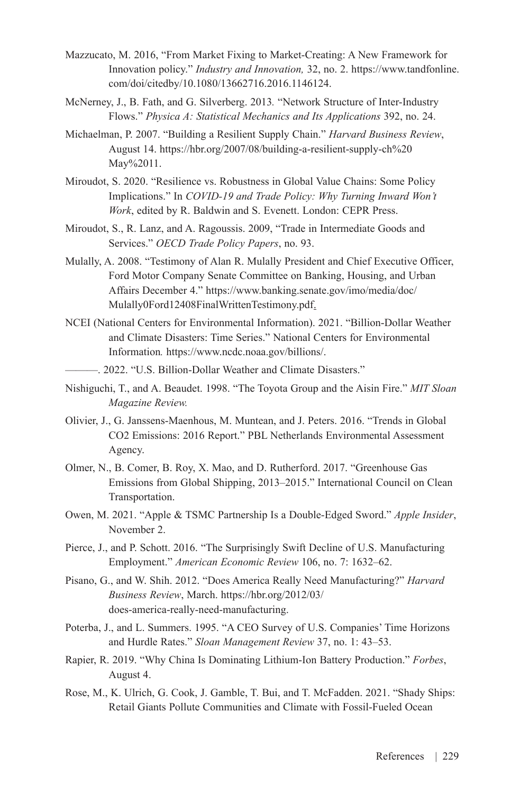- Mazzucato, M. 2016, "From Market Fixing to Market-Creating: A New Framework for Innovation policy." *Industry and Innovation,* 32, no. 2. https://www.tandfonline. com/doi/citedby/10.1080/13662716.2016.1146124.
- McNerney, J., B. Fath, and G. Silverberg. 2013*.* "Network Structure of Inter-Industry Flows." *Physica A: Statistical Mechanics and Its Applications* 392, no. 24.
- Michaelman, P. 2007. "Building a Resilient Supply Chain." *Harvard Business Review*, August 14. [https://hbr.org/2007/08/building-a-resilient-supply-ch%20](https://hbr.org/2007/08/building-a-resilient-supply-ch%20May%2011) [May%2011.](https://hbr.org/2007/08/building-a-resilient-supply-ch%20May%2011)
- Miroudot, S. 2020. "Resilience vs. Robustness in Global Value Chains: Some Policy Implications." In *COVID-19 and Trade Policy: Why Turning Inward Won't Work*, edited by R. Baldwin and S. Evenett. London: CEPR Press.
- Miroudot, S., R. Lanz, and A. Ragoussis. 2009, "Trade in Intermediate Goods and Services." *OECD Trade Policy Papers*, no. 93.
- Mulally, A. 2008. "Testimony of Alan R. Mulally President and Chief Executive Officer, Ford Motor Company Senate Committee on Banking, Housing, and Urban Affairs December 4." [https://www.banking.senate.gov/imo/media/doc/](https://www.banking.senate.gov/imo/media/doc/Mulally0Ford12408FinalWrittenTestimony.pdf) [Mulally0Ford12408FinalWrittenTestimony.pdf.](https://www.banking.senate.gov/imo/media/doc/Mulally0Ford12408FinalWrittenTestimony.pdf)
- NCEI (National Centers for Environmental Information). 2021. "Billion-Dollar Weather and Climate Disasters: Time Series." National Centers for Environmental Information*.* [https://www.ncdc.noaa.gov/billions/.](https://www.ncdc.noaa.gov/billions/)
- ———. 2022. "U.S. Billion-Dollar Weather and Climate Disasters."
- Nishiguchi, T., and A. Beaudet. 1998. "The Toyota Group and the Aisin Fire." *MIT Sloan Magazine Review.*
- Olivier, J., G. Janssens-Maenhous, M. Muntean, and J. Peters. 2016. "Trends in Global CO2 Emissions: 2016 Report." PBL Netherlands Environmental Assessment Agency.
- Olmer, N., B. Comer, B. Roy, X. Mao, and D. Rutherford. 2017. "Greenhouse Gas Emissions from Global Shipping, 2013–2015." International Council on Clean Transportation.
- Owen, M. 2021. "Apple & TSMC Partnership Is a Double-Edged Sword." *Apple Insider*, November 2.
- Pierce, J., and P. Schott. 2016. "The Surprisingly Swift Decline of U.S. Manufacturing Employment." *American Economic Review* 106, no. 7: 1632–62.
- Pisano, G., and W. Shih. 2012. "Does America Really Need Manufacturing?" *Harvard Business Review*, March. [https://hbr.org/2012/03/](https://hbr.org/2012/03/does-america-really-need-manufacturing) [does-america-really-need-manufacturing.](https://hbr.org/2012/03/does-america-really-need-manufacturing)
- Poterba, J., and L. Summers. 1995. "A CEO Survey of U.S. Companies' Time Horizons and Hurdle Rates." *Sloan Management Review* 37, no. 1: 43–53.
- Rapier, R. 2019. "Why China Is Dominating Lithium-Ion Battery Production." *Forbes*, August 4.
- Rose, M., K. Ulrich, G. Cook, J. Gamble, T. Bui, and T. McFadden. 2021. "Shady Ships: Retail Giants Pollute Communities and Climate with Fossil-Fueled Ocean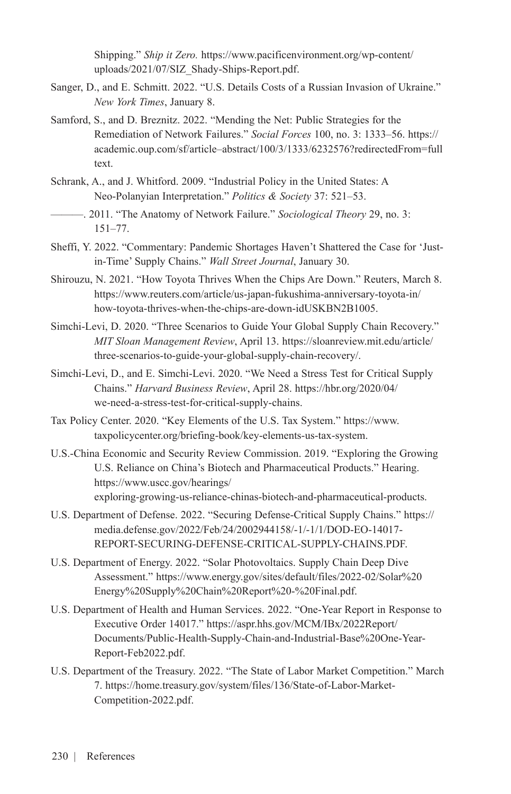Shipping." *Ship it Zero.* [https://www.pacificenvironment.org/wp-content/](https://www.pacificenvironment.org/wp-content/uploads/2021/07/SIZ_Shady-Ships-Report.pdf) [uploads/2021/07/SIZ\\_Shady-Ships-Report.pdf.](https://www.pacificenvironment.org/wp-content/uploads/2021/07/SIZ_Shady-Ships-Report.pdf)

- Sanger, D., and E. Schmitt. 2022. "U.S. Details Costs of a Russian Invasion of Ukraine." *New York Times*, January 8.
- Samford, S., and D. Breznitz. 2022. "Mending the Net: Public Strategies for the Remediation of Network Failures." *Social Forces* 100, no. 3: 1333–56. [https://](https://academic.oup.com/sf/article-abstract/100/3/1333/6232576?redirectedFrom=fulltext) [academic.oup.com/sf/article–abstract/100/3/1333/6232576?redirectedFrom=full](https://academic.oup.com/sf/article-abstract/100/3/1333/6232576?redirectedFrom=fulltext) [text](https://academic.oup.com/sf/article-abstract/100/3/1333/6232576?redirectedFrom=fulltext).
- Schrank, A., and J. Whitford. 2009. "Industrial Policy in the United States: A Neo-Polanyian Interpretation." *Politics & Society* 37: 521–53.

———. 2011. "The Anatomy of Network Failure." *Sociological Theory* 29, no. 3: 151–77.

- Sheffi, Y. 2022. "Commentary: Pandemic Shortages Haven't Shattered the Case for 'Justin-Time' Supply Chains." *Wall Street Journal*, January 30.
- Shirouzu, N. 2021. "How Toyota Thrives When the Chips Are Down." Reuters, March 8. [https://www.reuters.com/article/us-japan-fukushima-anniversary-toyota-in/](https://www.reuters.com/article/us-japan-fukushima-anniversary-toyota-in/how-toyota-thrives-when-the-chips-are-down-idUSKBN2B1005) [how-toyota-thrives-when-the-chips-are-down-idUSKBN2B1005.](https://www.reuters.com/article/us-japan-fukushima-anniversary-toyota-in/how-toyota-thrives-when-the-chips-are-down-idUSKBN2B1005)
- Simchi-Levi, D. 2020. "Three Scenarios to Guide Your Global Supply Chain Recovery." *MIT Sloan Management Review*, April 13. [https://sloanreview.mit.edu/article/](https://sloanreview.mit.edu/article/three-scenarios-to-guide-your-global-supply-chain-recovery/) [three-scenarios-to-guide-your-global-supply-chain-recovery/.](https://sloanreview.mit.edu/article/three-scenarios-to-guide-your-global-supply-chain-recovery/)
- Simchi-Levi, D., and E. Simchi-Levi. 2020. "We Need a Stress Test for Critical Supply Chains." *Harvard Business Review*, April 28. [https://hbr.org/2020/04/](https://hbr.org/2020/04/we-need-a-stress-test-for-critical-supply-chains) [we-need-a-stress-test-for-critical-supply-chains](https://hbr.org/2020/04/we-need-a-stress-test-for-critical-supply-chains).
- Tax Policy Center. 2020. "Key Elements of the U.S. Tax System." [https://www.](https://www.taxpolicycenter.org/briefing-book/key-elements-us-tax-system) [taxpolicycenter.org/briefing-book/key-elements-us-tax-system.](https://www.taxpolicycenter.org/briefing-book/key-elements-us-tax-system)
- U.S.-China Economic and Security Review Commission. 2019. "Exploring the Growing U.S. Reliance on China's Biotech and Pharmaceutical Products." Hearing. [https://www.uscc.gov/hearings/](https://www.uscc.gov/hearings/exploring-growing-us-reliance-chinas-biotech-and-pharmaceutical-products) [exploring-growing-us-reliance-chinas-biotech-and-pharmaceutical-products](https://www.uscc.gov/hearings/exploring-growing-us-reliance-chinas-biotech-and-pharmaceutical-products).
- U.S. Department of Defense. 2022. "Securing Defense-Critical Supply Chains." [https://](https://media.defense.gov/2022/Feb/24/2002944158/-1/-1/1/DOD-EO-14017-REPORT-SECURING-DEFENSE-CRITICAL-SUPPLY-CHAINS.PDF.) [media.defense.gov/2022/Feb/24/2002944158/-1/-1/1/DOD-EO-14017-](https://media.defense.gov/2022/Feb/24/2002944158/-1/-1/1/DOD-EO-14017-REPORT-SECURING-DEFENSE-CRITICAL-SUPPLY-CHAINS.PDF.) [REPORT-SECURING-DEFENSE-CRITICAL-SUPPLY-CHAINS.PDF.](https://media.defense.gov/2022/Feb/24/2002944158/-1/-1/1/DOD-EO-14017-REPORT-SECURING-DEFENSE-CRITICAL-SUPPLY-CHAINS.PDF.)
- U.S. Department of Energy. 2022. "Solar Photovoltaics. Supply Chain Deep Dive Assessment." [https://www.energy.gov/sites/default/files/2022-02/Solar%20](https://www.energy.gov/sites/default/files/2022-02/Solar%20Energy%20Supply%20Chain%20Report%20-%20Final.pdf) [Energy%20Supply%20Chain%20Report%20-%20Final.pdf.](https://www.energy.gov/sites/default/files/2022-02/Solar%20Energy%20Supply%20Chain%20Report%20-%20Final.pdf)
- U.S. Department of Health and Human Services. 2022. "One-Year Report in Response to Executive Order 14017." [https://aspr.hhs.gov/MCM/IBx/2022Report/](https://aspr.hhs.gov/MCM/IBx/2022Report/Documents/Public-Health-Supply-Chain-and-Industrial-Base%20One-Year-Report-Feb2022.pdf) [Documents/Public-Health-Supply-Chain-and-Industrial-Base%20One-Year-](https://aspr.hhs.gov/MCM/IBx/2022Report/Documents/Public-Health-Supply-Chain-and-Industrial-Base%20One-Year-Report-Feb2022.pdf)[Report-Feb2022.pdf](https://aspr.hhs.gov/MCM/IBx/2022Report/Documents/Public-Health-Supply-Chain-and-Industrial-Base%20One-Year-Report-Feb2022.pdf).
- U.S. Department of the Treasury. 2022. "The State of Labor Market Competition." March 7. [https://home.treasury.gov/system/files/136/State-of-Labor-Market-](https://home.treasury.gov/system/files/136/State-of-Labor-Market-Competition-2022.pdf)[Competition-2022.pdf](https://home.treasury.gov/system/files/136/State-of-Labor-Market-Competition-2022.pdf).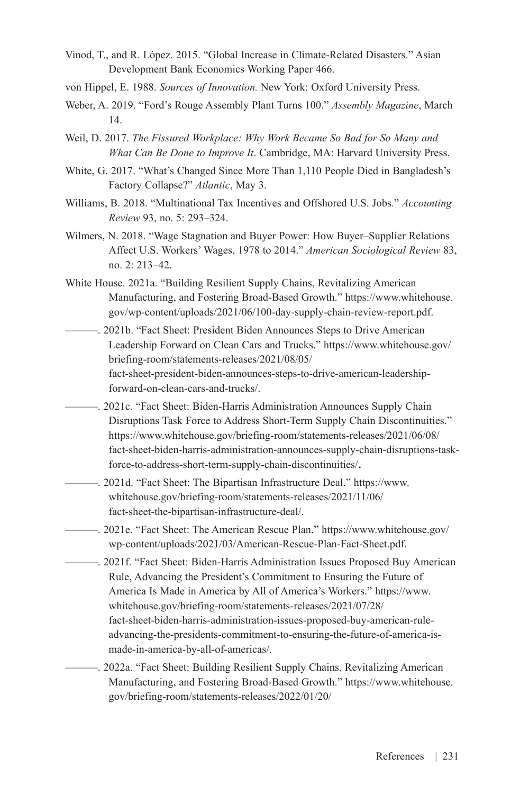- Vinod, T., and R. López. 2015. "Global Increase in Climate-Related Disasters." Asian Development Bank Economics Working Paper 466.
- von Hippel, E. 1988. *Sources of Innovation.* New York: Oxford University Press.
- Weber, A. 2019. "Ford's Rouge Assembly Plant Turns 100." *Assembly Magazine*, March 14.
- Weil, D. 2017. *The Fissured Workplace: Why Work Became So Bad for So Many and What Can Be Done to Improve It*. Cambridge, MA: Harvard University Press.
- White, G. 2017. "What's Changed Since More Than 1,110 People Died in Bangladesh's Factory Collapse?" *Atlantic*, May 3.
- Williams, B. 2018. "Multinational Tax Incentives and Offshored U.S. Jobs*.*" *Accounting Review* 93, no. 5: 293–324.
- Wilmers, N. 2018. "Wage Stagnation and Buyer Power: How Buyer–Supplier Relations Affect U.S. Workers' Wages, 1978 to 2014." *American Sociological Review* 83, no. 2: 213–42.
- White House. 2021a. "Building Resilient Supply Chains, Revitalizing American Manufacturing, and Fostering Broad-Based Growth." [https://www.whitehouse.](https://www.whitehouse.gov/wp-content/uploads/2021/06/100-day-supply-chain-review-report.pdf) [gov/wp-content/uploads/2021/06/100-day-supply-chain-review-report.pdf.](https://www.whitehouse.gov/wp-content/uploads/2021/06/100-day-supply-chain-review-report.pdf)
- ———. 2021b. "Fact Sheet: President Biden Announces Steps to Drive American Leadership Forward on Clean Cars and Trucks." [https://www.whitehouse.gov/](https://www.whitehouse.gov/briefing-room/statements-releases/2021/08/05/fact-sheet-president-biden-announces-steps-to-drive-american-leadership-forward-on-clean-cars-and-trucks/) [briefing-room/statements-releases/2021/08/05/](https://www.whitehouse.gov/briefing-room/statements-releases/2021/08/05/fact-sheet-president-biden-announces-steps-to-drive-american-leadership-forward-on-clean-cars-and-trucks/) [fact-sheet-president-biden-announces-steps-to-drive-american-leadership](https://www.whitehouse.gov/briefing-room/statements-releases/2021/08/05/fact-sheet-president-biden-announces-steps-to-drive-american-leadership-forward-on-clean-cars-and-trucks/)[forward-on-clean-cars-and-trucks/](https://www.whitehouse.gov/briefing-room/statements-releases/2021/08/05/fact-sheet-president-biden-announces-steps-to-drive-american-leadership-forward-on-clean-cars-and-trucks/).
- ———. 2021c. "Fact Sheet: Biden-Harris Administration Announces Supply Chain Disruptions Task Force to Address Short-Term Supply Chain Discontinuities." [https://www.whitehouse.gov/briefing-room/statements-releases/2021/06/08/](https://www.whitehouse.gov/briefing-room/statements-releases/2021/06/08/fact-sheet-biden-harris-administration-announces-supply-chain-disruptions-task-force-to-address-short-term-supply-chain-discontinuities/) [fact-sheet-biden-harris-administration-announces-supply-chain-disruptions-task](https://www.whitehouse.gov/briefing-room/statements-releases/2021/06/08/fact-sheet-biden-harris-administration-announces-supply-chain-disruptions-task-force-to-address-short-term-supply-chain-discontinuities/)[force-to-address-short-term-supply-chain-discontinuities/](https://www.whitehouse.gov/briefing-room/statements-releases/2021/06/08/fact-sheet-biden-harris-administration-announces-supply-chain-disruptions-task-force-to-address-short-term-supply-chain-discontinuities/).
- ———. 2021d. "Fact Sheet: The Bipartisan Infrastructure Deal." [https://www.](https://www.whitehouse.gov/briefing-room/statements-releases/2021/11/06/fact-sheet-the-bipartisan-infrastructure-deal/) [whitehouse.gov/briefing-room/statements-releases/2021/11/06/](https://www.whitehouse.gov/briefing-room/statements-releases/2021/11/06/fact-sheet-the-bipartisan-infrastructure-deal/) [fact-sheet-the-bipartisan-infrastructure-deal/](https://www.whitehouse.gov/briefing-room/statements-releases/2021/11/06/fact-sheet-the-bipartisan-infrastructure-deal/).
- ———. 2021e. "Fact Sheet: The American Rescue Plan." [https://www.whitehouse.gov/](https://www.whitehouse.gov/wp-content/uploads/2021/03/American-Rescue-Plan-Fact-Sheet.pdf) [wp-content/uploads/2021/03/American-Rescue-Plan-Fact-Sheet.pdf.](https://www.whitehouse.gov/wp-content/uploads/2021/03/American-Rescue-Plan-Fact-Sheet.pdf)
- ———. 2021f. "Fact Sheet: Biden-Harris Administration Issues Proposed Buy American Rule, Advancing the President's Commitment to Ensuring the Future of America Is Made in America by All of America's Workers." [https://www.](https://www.whitehouse.gov/briefing-room/statements-releases/2021/07/28/fact-sheet-biden-harris-administration-issues-proposed-buy-american-rule-advancing-the-presidents-commitment-to-ensuring-the-future-of-america-is-made-in-america-by-all-of-americas/) [whitehouse.gov/briefing-room/statements-releases/2021/07/28/](https://www.whitehouse.gov/briefing-room/statements-releases/2021/07/28/fact-sheet-biden-harris-administration-issues-proposed-buy-american-rule-advancing-the-presidents-commitment-to-ensuring-the-future-of-america-is-made-in-america-by-all-of-americas/) [fact-sheet-biden-harris-administration-issues-proposed-buy-american-rule](https://www.whitehouse.gov/briefing-room/statements-releases/2021/07/28/fact-sheet-biden-harris-administration-issues-proposed-buy-american-rule-advancing-the-presidents-commitment-to-ensuring-the-future-of-america-is-made-in-america-by-all-of-americas/)[advancing-the-presidents-commitment-to-ensuring-the-future-of-america-is](https://www.whitehouse.gov/briefing-room/statements-releases/2021/07/28/fact-sheet-biden-harris-administration-issues-proposed-buy-american-rule-advancing-the-presidents-commitment-to-ensuring-the-future-of-america-is-made-in-america-by-all-of-americas/)[made-in-america-by-all-of-americas/.](https://www.whitehouse.gov/briefing-room/statements-releases/2021/07/28/fact-sheet-biden-harris-administration-issues-proposed-buy-american-rule-advancing-the-presidents-commitment-to-ensuring-the-future-of-america-is-made-in-america-by-all-of-americas/)
	- ———. 2022a. "Fact Sheet: Building Resilient Supply Chains, Revitalizing American Manufacturing, and Fostering Broad-Based Growth." [https://www.whitehouse.](https://www.whitehouse.gov/briefing-room/statements-releases/2022/01/20/fact-sheet-biden-harris-administration-bringing-semiconductor-manufacturing-back-to-america/) [gov/briefing-room/statements-releases/2022/01/20/](https://www.whitehouse.gov/briefing-room/statements-releases/2022/01/20/fact-sheet-biden-harris-administration-bringing-semiconductor-manufacturing-back-to-america/)